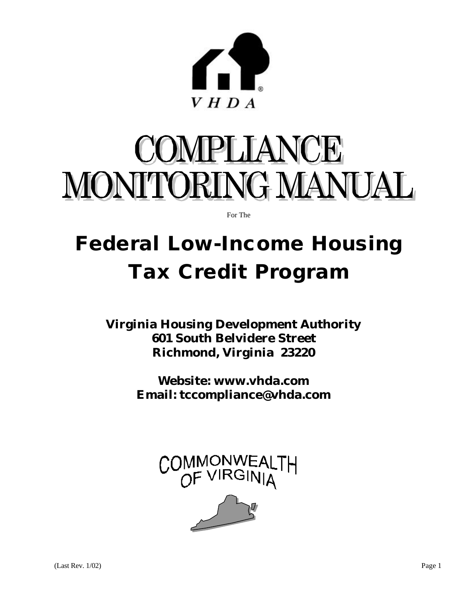

# COMPLIANCE MONITORING MANUAL

For The

## **Federal Low-Income Housing Tax Credit Program**

**Virginia Housing Development Authority 601 South Belvidere Street Richmond, Virginia 23220**

> **Website: www.vhda.com Email: tccompliance@vhda.com**

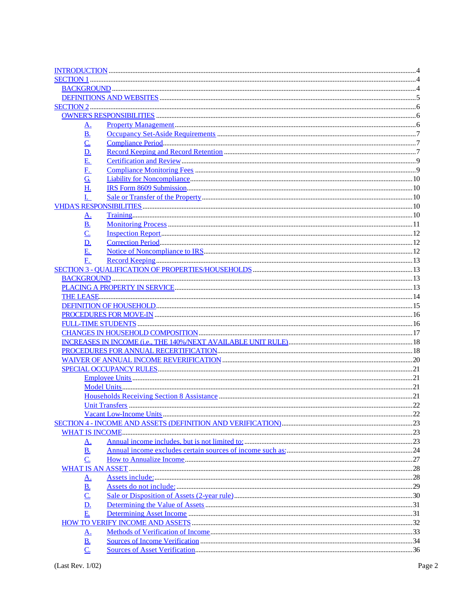| <u>A.</u>                     |  |
|-------------------------------|--|
| <u>B.</u>                     |  |
| $\underline{\mathsf{C}}$      |  |
| <u>D.</u>                     |  |
| E.                            |  |
| <u>E.</u>                     |  |
| $\underline{G}$ .             |  |
| H.                            |  |
| $\mathbf{I}$ .                |  |
|                               |  |
|                               |  |
| <u>A.</u>                     |  |
| <u>B.</u>                     |  |
| $\underline{\mathsf{C}}$      |  |
| <u>D.</u>                     |  |
| E.                            |  |
| F <sub>r</sub>                |  |
|                               |  |
|                               |  |
|                               |  |
|                               |  |
|                               |  |
|                               |  |
|                               |  |
|                               |  |
|                               |  |
|                               |  |
|                               |  |
|                               |  |
|                               |  |
|                               |  |
|                               |  |
|                               |  |
|                               |  |
|                               |  |
|                               |  |
| <u>A.</u>                     |  |
| <b>B.</b>                     |  |
| C.                            |  |
|                               |  |
| <u>A.</u>                     |  |
| $\underline{\mathbf{B}}$ .    |  |
| $\overline{C}$                |  |
| $\underline{\mathbf{D}}$ .    |  |
| E                             |  |
|                               |  |
|                               |  |
| <u>A.</u>                     |  |
| <u>B.</u><br>$\overline{C}$ . |  |
|                               |  |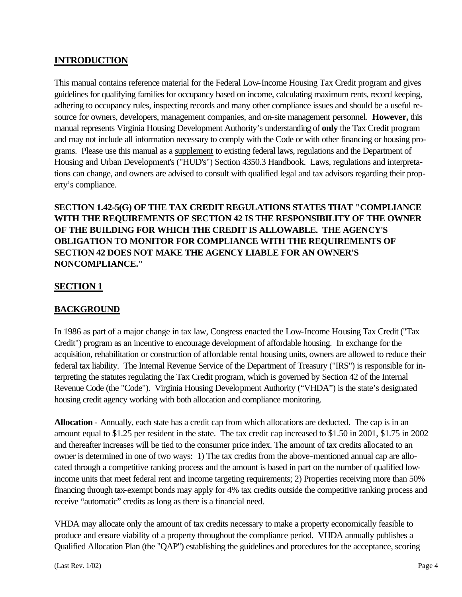#### **INTRODUCTION**

This manual contains reference material for the Federal Low-Income Housing Tax Credit program and gives guidelines for qualifying families for occupancy based on income, calculating maximum rents, record keeping, adhering to occupancy rules, inspecting records and many other compliance issues and should be a useful resource for owners, developers, management companies, and on-site management personnel. **However,** this manual represents Virginia Housing Development Authority's understanding of **only** the Tax Credit program and may not include all information necessary to comply with the Code or with other financing or housing programs. Please use this manual as a supplement to existing federal laws, regulations and the Department of Housing and Urban Development's ("HUD's") Section 4350.3 Handbook. Laws, regulations and interpretations can change, and owners are advised to consult with qualified legal and tax advisors regarding their property's compliance.

**SECTION 1.42-5(G) OF THE TAX CREDIT REGULATIONS STATES THAT "COMPLIANCE WITH THE REQUIREMENTS OF SECTION 42 IS THE RESPONSIBILITY OF THE OWNER OF THE BUILDING FOR WHICH THE CREDIT IS ALLOWABLE. THE AGENCY'S OBLIGATION TO MONITOR FOR COMPLIANCE WITH THE REQUIREMENTS OF SECTION 42 DOES NOT MAKE THE AGENCY LIABLE FOR AN OWNER'S NONCOMPLIANCE."**

#### **SECTION 1**

#### **BACKGROUND**

In 1986 as part of a major change in tax law, Congress enacted the Low-Income Housing Tax Credit ("Tax Credit") program as an incentive to encourage development of affordable housing. In exchange for the acquisition, rehabilitation or construction of affordable rental housing units, owners are allowed to reduce their federal tax liability. The Internal Revenue Service of the Department of Treasury ("IRS") is responsible for interpreting the statutes regulating the Tax Credit program, which is governed by Section 42 of the Internal Revenue Code (the "Code"). Virginia Housing Development Authority ("VHDA") is the state's designated housing credit agency working with both allocation and compliance monitoring.

**Allocation** - Annually, each state has a credit cap from which allocations are deducted. The cap is in an amount equal to \$1.25 per resident in the state. The tax credit cap increased to \$1.50 in 2001, \$1.75 in 2002 and thereafter increases will be tied to the consumer price index. The amount of tax credits allocated to an owner is determined in one of two ways: 1) The tax credits from the above-mentioned annual cap are allocated through a competitive ranking process and the amount is based in part on the number of qualified lowincome units that meet federal rent and income targeting requirements; 2) Properties receiving more than 50% financing through tax-exempt bonds may apply for 4% tax credits outside the competitive ranking process and receive "automatic" credits as long as there is a financial need.

VHDA may allocate only the amount of tax credits necessary to make a property economically feasible to produce and ensure viability of a property throughout the compliance period. VHDA annually publishes a Qualified Allocation Plan (the "QAP") establishing the guidelines and procedures for the acceptance, scoring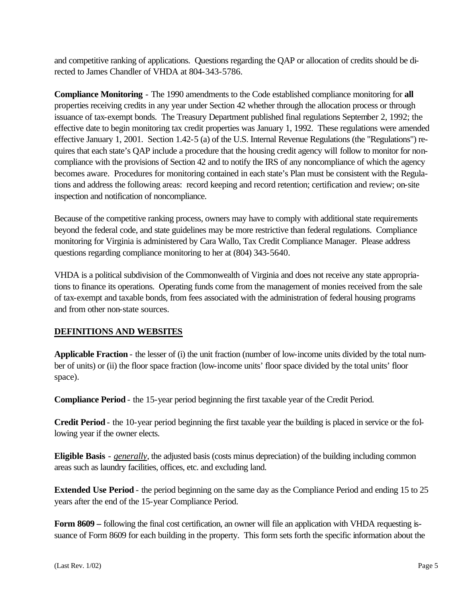and competitive ranking of applications. Questions regarding the QAP or allocation of credits should be directed to James Chandler of VHDA at 804-343-5786.

**Compliance Monitoring** - The 1990 amendments to the Code established compliance monitoring for **all** properties receiving credits in any year under Section 42 whether through the allocation process or through issuance of tax-exempt bonds. The Treasury Department published final regulations September 2, 1992; the effective date to begin monitoring tax credit properties was January 1, 1992. These regulations were amended effective January 1, 2001. Section 1.42-5 (a) of the U.S. Internal Revenue Regulations (the "Regulations") requires that each state's QAP include a procedure that the housing credit agency will follow to monitor for noncompliance with the provisions of Section 42 and to notify the IRS of any noncompliance of which the agency becomes aware. Procedures for monitoring contained in each state's Plan must be consistent with the Regulations and address the following areas: record keeping and record retention; certification and review; on-site inspection and notification of noncompliance.

Because of the competitive ranking process, owners may have to comply with additional state requirements beyond the federal code, and state guidelines may be more restrictive than federal regulations. Compliance monitoring for Virginia is administered by Cara Wallo, Tax Credit Compliance Manager. Please address questions regarding compliance monitoring to her at (804) 343-5640.

VHDA is a political subdivision of the Commonwealth of Virginia and does not receive any state appropriations to finance its operations. Operating funds come from the management of monies received from the sale of tax-exempt and taxable bonds, from fees associated with the administration of federal housing programs and from other non-state sources.

#### **DEFINITIONS AND WEBSITES**

**Applicable Fraction** - the lesser of (i) the unit fraction (number of low-income units divided by the total number of units) or (ii) the floor space fraction (low-income units' floor space divided by the total units' floor space).

**Compliance Period** - the 15-year period beginning the first taxable year of the Credit Period.

**Credit Period** - the 10-year period beginning the first taxable year the building is placed in service or the following year if the owner elects.

**Eligible Basis** - *generally*, the adjusted basis (costs minus depreciation) of the building including common areas such as laundry facilities, offices, etc. and excluding land.

**Extended Use Period** - the period beginning on the same day as the Compliance Period and ending 15 to 25 years after the end of the 15-year Compliance Period.

**Form 8609 –** following the final cost certification, an owner will file an application with VHDA requesting issuance of Form 8609 for each building in the property. This form sets forth the specific information about the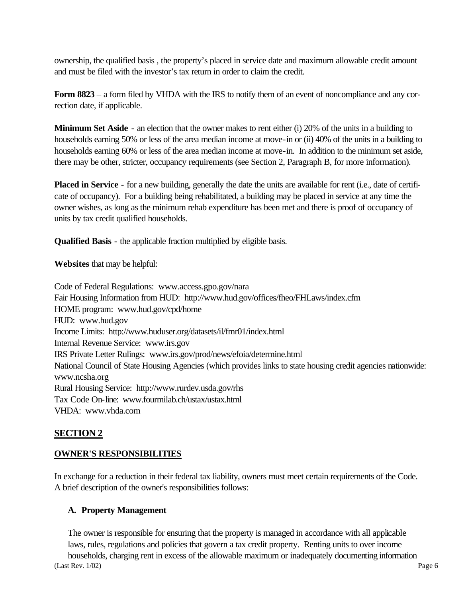ownership, the qualified basis , the property's placed in service date and maximum allowable credit amount and must be filed with the investor's tax return in order to claim the credit.

**Form 8823** – a form filed by VHDA with the IRS to notify them of an event of noncompliance and any correction date, if applicable.

**Minimum Set Aside** - an election that the owner makes to rent either (i) 20% of the units in a building to households earning 50% or less of the area median income at move-in or (ii) 40% of the units in a building to households earning 60% or less of the area median income at move-in. In addition to the minimum set aside, there may be other, stricter, occupancy requirements (see Section 2, Paragraph B, for more information).

**Placed in Service** - for a new building, generally the date the units are available for rent (i.e., date of certificate of occupancy). For a building being rehabilitated, a building may be placed in service at any time the owner wishes, as long as the minimum rehab expenditure has been met and there is proof of occupancy of units by tax credit qualified households.

**Qualified Basis** - the applicable fraction multiplied by eligible basis.

**Websites** that may be helpful:

Code of Federal Regulations: www.access.gpo.gov/nara Fair Housing Information from HUD: http://www.hud.gov/offices/fheo/FHLaws/index.cfm HOME program: www.hud.gov/cpd/home HUD: www.hud.gov Income Limits: http://www.huduser.org/datasets/il/fmr01/index.html Internal Revenue Service: www.irs.gov IRS Private Letter Rulings: www.irs.gov/prod/news/efoia/determine.html National Council of State Housing Agencies (which provides links to state housing credit agencies nationwide: www.ncsha.org Rural Housing Service: http://www.rurdev.usda.gov/rhs Tax Code On-line: www.fourmilab.ch/ustax/ustax.html VHDA: www.vhda.com

#### **SECTION 2**

#### **OWNER'S RESPONSIBILITIES**

In exchange for a reduction in their federal tax liability, owners must meet certain requirements of the Code. A brief description of the owner's responsibilities follows:

#### **A. Property Management**

(Last Rev. 1/02) Page 6 The owner is responsible for ensuring that the property is managed in accordance with all applicable laws, rules, regulations and policies that govern a tax credit property. Renting units to over income households, charging rent in excess of the allowable maximum or inadequately documenting information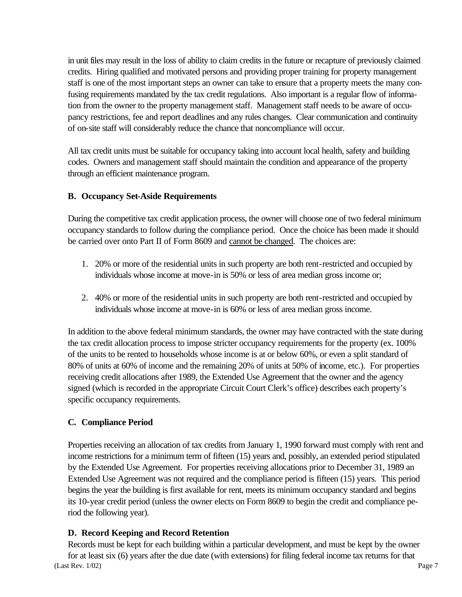in unit files may result in the loss of ability to claim credits in the future or recapture of previously claimed credits. Hiring qualified and motivated persons and providing proper training for property management staff is one of the most important steps an owner can take to ensure that a property meets the many confusing requirements mandated by the tax credit regulations. Also important is a regular flow of information from the owner to the property management staff. Management staff needs to be aware of occupancy restrictions, fee and report deadlines and any rules changes. Clear communication and continuity of on-site staff will considerably reduce the chance that noncompliance will occur.

All tax credit units must be suitable for occupancy taking into account local health, safety and building codes. Owners and management staff should maintain the condition and appearance of the property through an efficient maintenance program.

#### **B. Occupancy Set-Aside Requirements**

During the competitive tax credit application process, the owner will choose one of two federal minimum occupancy standards to follow during the compliance period. Once the choice has been made it should be carried over onto Part II of Form 8609 and cannot be changed. The choices are:

- 1. 20% or more of the residential units in such property are both rent-restricted and occupied by individuals whose income at move-in is 50% or less of area median gross income or;
- 2. 40% or more of the residential units in such property are both rent-restricted and occupied by individuals whose income at move-in is 60% or less of area median gross income.

In addition to the above federal minimum standards, the owner may have contracted with the state during the tax credit allocation process to impose stricter occupancy requirements for the property (ex. 100% of the units to be rented to households whose income is at or below 60%, or even a split standard of 80% of units at 60% of income and the remaining 20% of units at 50% of income, etc.). For properties receiving credit allocations after 1989, the Extended Use Agreement that the owner and the agency signed (which is recorded in the appropriate Circuit Court Clerk's office) describes each property's specific occupancy requirements.

#### **C. Compliance Period**

Properties receiving an allocation of tax credits from January 1, 1990 forward must comply with rent and income restrictions for a minimum term of fifteen (15) years and, possibly, an extended period stipulated by the Extended Use Agreement. For properties receiving allocations prior to December 31, 1989 an Extended Use Agreement was not required and the compliance period is fifteen (15) years. This period begins the year the building is first available for rent, meets its minimum occupancy standard and begins its 10-year credit period (unless the owner elects on Form 8609 to begin the credit and compliance period the following year).

#### **D. Record Keeping and Record Retention**

(Last Rev. 1/02) Page 7 Records must be kept for each building within a particular development, and must be kept by the owner for at least six (6) years after the due date (with extensions) for filing federal income tax returns for that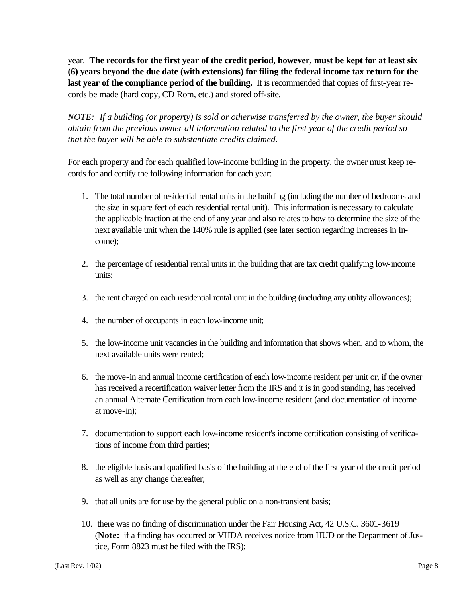year. **The records for the first year of the credit period, however, must be kept for at least six (6) years beyond the due date (with extensions) for filing the federal income tax return for the last year of the compliance period of the building.** It is recommended that copies of first-year records be made (hard copy, CD Rom, etc.) and stored off-site.

*NOTE: If a building (or property) is sold or otherwise transferred by the owner, the buyer should obtain from the previous owner all information related to the first year of the credit period so that the buyer will be able to substantiate credits claimed.*

For each property and for each qualified low-income building in the property, the owner must keep records for and certify the following information for each year:

- 1. The total number of residential rental units in the building (including the number of bedrooms and the size in square feet of each residential rental unit). This information is necessary to calculate the applicable fraction at the end of any year and also relates to how to determine the size of the next available unit when the 140% rule is applied (see later section regarding Increases in Income);
- 2. the percentage of residential rental units in the building that are tax credit qualifying low-income units;
- 3. the rent charged on each residential rental unit in the building (including any utility allowances);
- 4. the number of occupants in each low-income unit;
- 5. the low-income unit vacancies in the building and information that shows when, and to whom, the next available units were rented;
- 6. the move-in and annual income certification of each low-income resident per unit or, if the owner has received a recertification waiver letter from the IRS and it is in good standing, has received an annual Alternate Certification from each low-income resident (and documentation of income at move-in);
- 7. documentation to support each low-income resident's income certification consisting of verifications of income from third parties;
- 8. the eligible basis and qualified basis of the building at the end of the first year of the credit period as well as any change thereafter;
- 9. that all units are for use by the general public on a non-transient basis;
- 10. there was no finding of discrimination under the Fair Housing Act, 42 U.S.C. 3601-3619 (**Note:** if a finding has occurred or VHDA receives notice from HUD or the Department of Justice, Form 8823 must be filed with the IRS);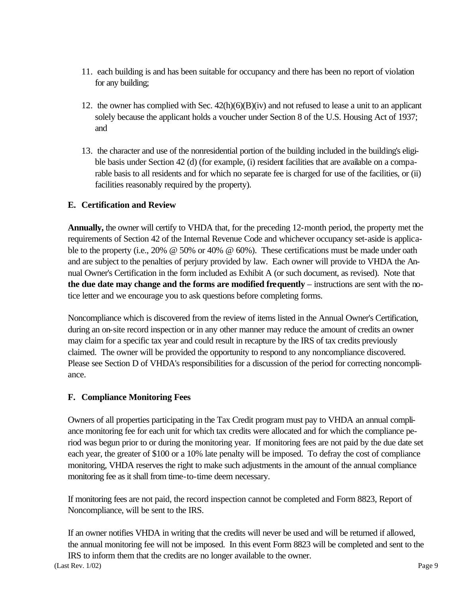- 11. each building is and has been suitable for occupancy and there has been no report of violation for any building;
- 12. the owner has complied with Sec.  $42(h)(6)(B)(iv)$  and not refused to lease a unit to an applicant solely because the applicant holds a voucher under Section 8 of the U.S. Housing Act of 1937; and
- 13. the character and use of the nonresidential portion of the building included in the building's eligible basis under Section 42 (d) (for example, (i) resident facilities that are available on a comparable basis to all residents and for which no separate fee is charged for use of the facilities, or (ii) facilities reasonably required by the property).

#### **E. Certification and Review**

**Annually,** the owner will certify to VHDA that, for the preceding 12-month period, the property met the requirements of Section 42 of the Internal Revenue Code and whichever occupancy set-aside is applicable to the property (i.e., 20% @ 50% or 40% @ 60%). These certifications must be made under oath and are subject to the penalties of perjury provided by law. Each owner will provide to VHDA the Annual Owner's Certification in the form included as Exhibit A (or such document, as revised). Note that **the due date may change and the forms are modified frequently** – instructions are sent with the notice letter and we encourage you to ask questions before completing forms.

Noncompliance which is discovered from the review of items listed in the Annual Owner's Certification, during an on-site record inspection or in any other manner may reduce the amount of credits an owner may claim for a specific tax year and could result in recapture by the IRS of tax credits previously claimed. The owner will be provided the opportunity to respond to any noncompliance discovered. Please see Section D of VHDA's responsibilities for a discussion of the period for correcting noncompliance.

#### **F. Compliance Monitoring Fees**

Owners of all properties participating in the Tax Credit program must pay to VHDA an annual compliance monitoring fee for each unit for which tax credits were allocated and for which the compliance period was begun prior to or during the monitoring year. If monitoring fees are not paid by the due date set each year, the greater of \$100 or a 10% late penalty will be imposed. To defray the cost of compliance monitoring, VHDA reserves the right to make such adjustments in the amount of the annual compliance monitoring fee as it shall from time-to-time deem necessary.

If monitoring fees are not paid, the record inspection cannot be completed and Form 8823, Report of Noncompliance, will be sent to the IRS.

If an owner notifies VHDA in writing that the credits will never be used and will be returned if allowed, the annual monitoring fee will not be imposed. In this event Form 8823 will be completed and sent to the IRS to inform them that the credits are no longer available to the owner.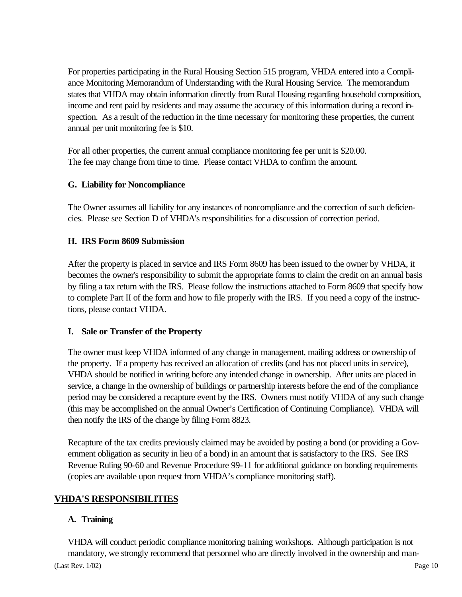For properties participating in the Rural Housing Section 515 program, VHDA entered into a Compliance Monitoring Memorandum of Understanding with the Rural Housing Service. The memorandum states that VHDA may obtain information directly from Rural Housing regarding household composition, income and rent paid by residents and may assume the accuracy of this information during a record inspection. As a result of the reduction in the time necessary for monitoring these properties, the current annual per unit monitoring fee is \$10.

For all other properties, the current annual compliance monitoring fee per unit is \$20.00. The fee may change from time to time. Please contact VHDA to confirm the amount.

#### **G. Liability for Noncompliance**

The Owner assumes all liability for any instances of noncompliance and the correction of such deficiencies. Please see Section D of VHDA's responsibilities for a discussion of correction period.

#### **H. IRS Form 8609 Submission**

After the property is placed in service and IRS Form 8609 has been issued to the owner by VHDA, it becomes the owner's responsibility to submit the appropriate forms to claim the credit on an annual basis by filing a tax return with the IRS. Please follow the instructions attached to Form 8609 that specify how to complete Part II of the form and how to file properly with the IRS. If you need a copy of the instructions, please contact VHDA.

#### **I. Sale or Transfer of the Property**

The owner must keep VHDA informed of any change in management, mailing address or ownership of the property. If a property has received an allocation of credits (and has not placed units in service), VHDA should be notified in writing before any intended change in ownership. After units are placed in service, a change in the ownership of buildings or partnership interests before the end of the compliance period may be considered a recapture event by the IRS. Owners must notify VHDA of any such change (this may be accomplished on the annual Owner's Certification of Continuing Compliance). VHDA will then notify the IRS of the change by filing Form 8823.

Recapture of the tax credits previously claimed may be avoided by posting a bond (or providing a Government obligation as security in lieu of a bond) in an amount that is satisfactory to the IRS. See IRS Revenue Ruling 90-60 and Revenue Procedure 99-11 for additional guidance on bonding requirements (copies are available upon request from VHDA's compliance monitoring staff).

#### **VHDA'S RESPONSIBILITIES**

#### **A. Training**

(Last Rev. 1/02) Page 10 VHDA will conduct periodic compliance monitoring training workshops. Although participation is not mandatory, we strongly recommend that personnel who are directly involved in the ownership and man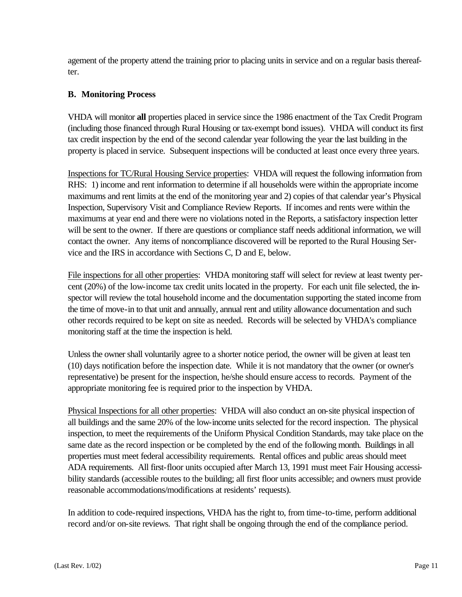agement of the property attend the training prior to placing units in service and on a regular basis thereafter.

#### **B. Monitoring Process**

VHDA will monitor **all** properties placed in service since the 1986 enactment of the Tax Credit Program (including those financed through Rural Housing or tax-exempt bond issues). VHDA will conduct its first tax credit inspection by the end of the second calendar year following the year the last building in the property is placed in service. Subsequent inspections will be conducted at least once every three years.

Inspections for TC/Rural Housing Service properties: VHDA will request the following information from RHS: 1) income and rent information to determine if all households were within the appropriate income maximums and rent limits at the end of the monitoring year and 2) copies of that calendar year's Physical Inspection, Supervisory Visit and Compliance Review Reports. If incomes and rents were within the maximums at year end and there were no violations noted in the Reports, a satisfactory inspection letter will be sent to the owner. If there are questions or compliance staff needs additional information, we will contact the owner. Any items of noncompliance discovered will be reported to the Rural Housing Service and the IRS in accordance with Sections C, D and E, below.

File inspections for all other properties: VHDA monitoring staff will select for review at least twenty percent (20%) of the low-income tax credit units located in the property. For each unit file selected, the inspector will review the total household income and the documentation supporting the stated income from the time of move-in to that unit and annually, annual rent and utility allowance documentation and such other records required to be kept on site as needed. Records will be selected by VHDA's compliance monitoring staff at the time the inspection is held.

Unless the owner shall voluntarily agree to a shorter notice period, the owner will be given at least ten (10) days notification before the inspection date. While it is not mandatory that the owner (or owner's representative) be present for the inspection, he/she should ensure access to records. Payment of the appropriate monitoring fee is required prior to the inspection by VHDA.

Physical Inspections for all other properties: VHDA will also conduct an on-site physical inspection of all buildings and the same 20% of the low-income units selected for the record inspection. The physical inspection, to meet the requirements of the Uniform Physical Condition Standards, may take place on the same date as the record inspection or be completed by the end of the following month. Buildings in all properties must meet federal accessibility requirements. Rental offices and public areas should meet ADA requirements. All first-floor units occupied after March 13, 1991 must meet Fair Housing accessibility standards (accessible routes to the building; all first floor units accessible; and owners must provide reasonable accommodations/modifications at residents' requests).

In addition to code-required inspections, VHDA has the right to, from time-to-time, perform additional record and/or on-site reviews. That right shall be ongoing through the end of the compliance period.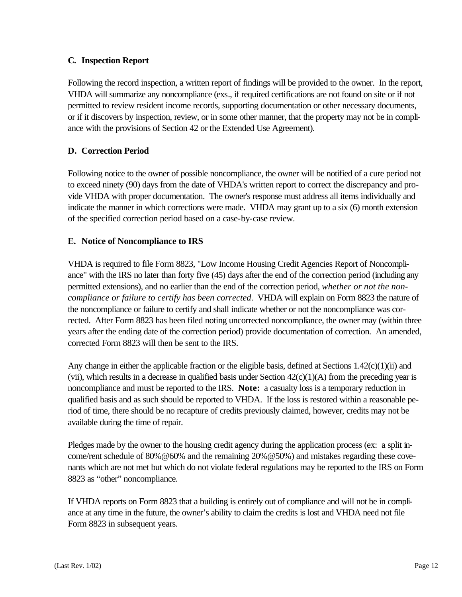#### **C. Inspection Report**

Following the record inspection, a written report of findings will be provided to the owner. In the report, VHDA will summarize any noncompliance (exs., if required certifications are not found on site or if not permitted to review resident income records, supporting documentation or other necessary documents, or if it discovers by inspection, review, or in some other manner, that the property may not be in compliance with the provisions of Section 42 or the Extended Use Agreement).

#### **D. Correction Period**

Following notice to the owner of possible noncompliance, the owner will be notified of a cure period not to exceed ninety (90) days from the date of VHDA's written report to correct the discrepancy and provide VHDA with proper documentation. The owner's response must address all items individually and indicate the manner in which corrections were made. VHDA may grant up to a six (6) month extension of the specified correction period based on a case-by-case review.

#### **E. Notice of Noncompliance to IRS**

VHDA is required to file Form 8823, "Low Income Housing Credit Agencies Report of Noncompliance" with the IRS no later than forty five (45) days after the end of the correction period (including any permitted extensions), and no earlier than the end of the correction period, *whether or not the noncompliance or failure to certify has been corrected*. VHDA will explain on Form 8823 the nature of the noncompliance or failure to certify and shall indicate whether or not the noncompliance was corrected. After Form 8823 has been filed noting uncorrected noncompliance, the owner may (within three years after the ending date of the correction period) provide documentation of correction. An amended, corrected Form 8823 will then be sent to the IRS.

Any change in either the applicable fraction or the eligible basis, defined at Sections  $1.42(c)(1)(ii)$  and (vii), which results in a decrease in qualified basis under Section  $42(c)(1)(A)$  from the preceding year is noncompliance and must be reported to the IRS. **Note:** a casualty loss is a temporary reduction in qualified basis and as such should be reported to VHDA. If the loss is restored within a reasonable period of time, there should be no recapture of credits previously claimed, however, credits may not be available during the time of repair.

Pledges made by the owner to the housing credit agency during the application process (ex: a split income/rent schedule of 80%@60% and the remaining 20%@50%) and mistakes regarding these covenants which are not met but which do not violate federal regulations may be reported to the IRS on Form 8823 as "other" noncompliance.

If VHDA reports on Form 8823 that a building is entirely out of compliance and will not be in compliance at any time in the future, the owner's ability to claim the credits is lost and VHDA need not file Form 8823 in subsequent years.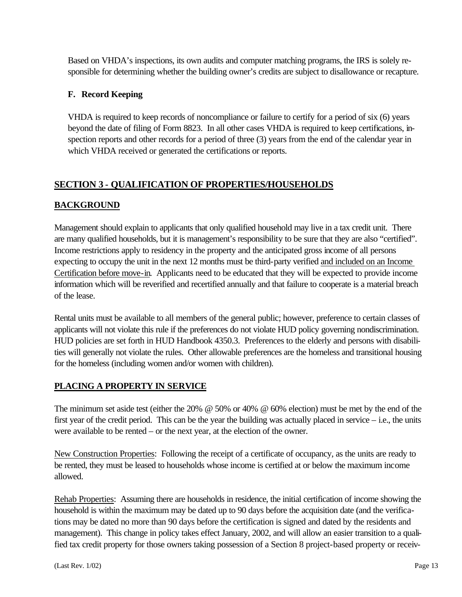Based on VHDA's inspections, its own audits and computer matching programs, the IRS is solely responsible for determining whether the building owner's credits are subject to disallowance or recapture.

#### **F. Record Keeping**

VHDA is required to keep records of noncompliance or failure to certify for a period of six (6) years beyond the date of filing of Form 8823. In all other cases VHDA is required to keep certifications, inspection reports and other records for a period of three (3) years from the end of the calendar year in which VHDA received or generated the certifications or reports.

#### **SECTION 3 - QUALIFICATION OF PROPERTIES/HOUSEHOLDS**

#### **BACKGROUND**

Management should explain to applicants that only qualified household may live in a tax credit unit. There are many qualified households, but it is management's responsibility to be sure that they are also "certified". Income restrictions apply to residency in the property and the anticipated gross income of all persons expecting to occupy the unit in the next 12 months must be third-party verified and included on an Income Certification before move-in. Applicants need to be educated that they will be expected to provide income information which will be reverified and recertified annually and that failure to cooperate is a material breach of the lease.

Rental units must be available to all members of the general public; however, preference to certain classes of applicants will not violate this rule if the preferences do not violate HUD policy governing nondiscrimination. HUD policies are set forth in HUD Handbook 4350.3. Preferences to the elderly and persons with disabilities will generally not violate the rules. Other allowable preferences are the homeless and transitional housing for the homeless (including women and/or women with children).

#### **PLACING A PROPERTY IN SERVICE**

The minimum set aside test (either the 20% @ 50% or 40% @ 60% election) must be met by the end of the first year of the credit period. This can be the year the building was actually placed in service – i.e., the units were available to be rented – or the next year, at the election of the owner.

New Construction Properties: Following the receipt of a certificate of occupancy, as the units are ready to be rented, they must be leased to households whose income is certified at or below the maximum income allowed.

Rehab Properties: Assuming there are households in residence, the initial certification of income showing the household is within the maximum may be dated up to 90 days before the acquisition date (and the verifications may be dated no more than 90 days before the certification is signed and dated by the residents and management). This change in policy takes effect January, 2002, and will allow an easier transition to a qualified tax credit property for those owners taking possession of a Section 8 project-based property or receiv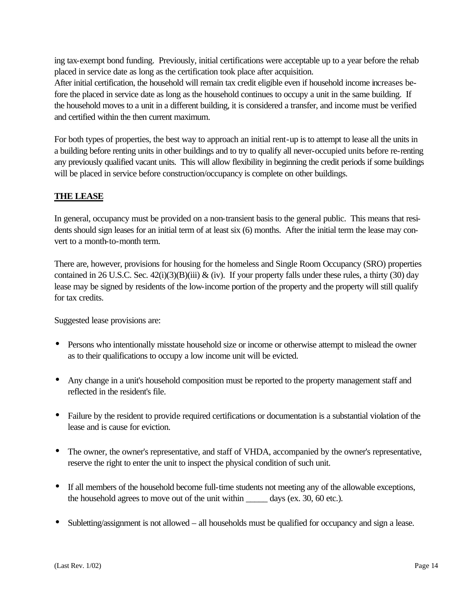ing tax-exempt bond funding. Previously, initial certifications were acceptable up to a year before the rehab placed in service date as long as the certification took place after acquisition.

After initial certification, the household will remain tax credit eligible even if household income increases before the placed in service date as long as the household continues to occupy a unit in the same building. If the household moves to a unit in a different building, it is considered a transfer, and income must be verified and certified within the then current maximum.

For both types of properties, the best way to approach an initial rent-up is to attempt to lease all the units in a building before renting units in other buildings and to try to qualify all never-occupied units before re-renting any previously qualified vacant units. This will allow flexibility in beginning the credit periods if some buildings will be placed in service before construction/occupancy is complete on other buildings.

#### **THE LEASE**

In general, occupancy must be provided on a non-transient basis to the general public. This means that residents should sign leases for an initial term of at least six (6) months. After the initial term the lease may convert to a month-to-month term.

There are, however, provisions for housing for the homeless and Single Room Occupancy (SRO) properties contained in 26 U.S.C. Sec.  $42(i)(3)(B)(iii)$  & (iv). If your property falls under these rules, a thirty (30) day lease may be signed by residents of the low-income portion of the property and the property will still qualify for tax credits.

Suggested lease provisions are:

- Persons who intentionally misstate household size or income or otherwise attempt to mislead the owner as to their qualifications to occupy a low income unit will be evicted.
- Any change in a unit's household composition must be reported to the property management staff and reflected in the resident's file.
- Failure by the resident to provide required certifications or documentation is a substantial violation of the lease and is cause for eviction.
- The owner, the owner's representative, and staff of VHDA, accompanied by the owner's representative, reserve the right to enter the unit to inspect the physical condition of such unit.
- If all members of the household become full-time students not meeting any of the allowable exceptions, the household agrees to move out of the unit within \_\_\_\_\_\_ days (ex. 30, 60 etc.).
- Subletting/assignment is not allowed all households must be qualified for occupancy and sign a lease.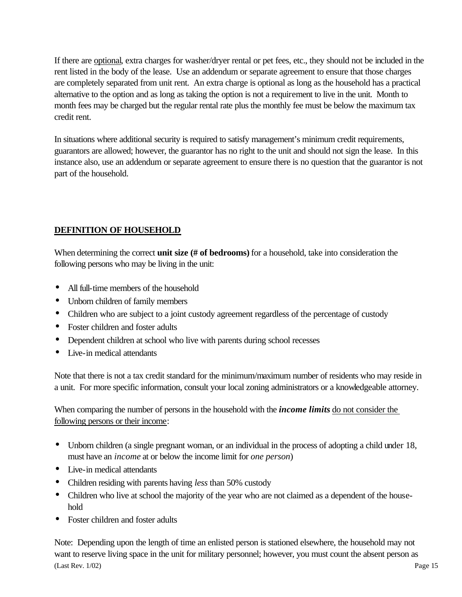If there are optional, extra charges for washer/dryer rental or pet fees, etc., they should not be included in the rent listed in the body of the lease. Use an addendum or separate agreement to ensure that those charges are completely separated from unit rent. An extra charge is optional as long as the household has a practical alternative to the option and as long as taking the option is not a requirement to live in the unit. Month to month fees may be charged but the regular rental rate plus the monthly fee must be below the maximum tax credit rent.

In situations where additional security is required to satisfy management's minimum credit requirements, guarantors are allowed; however, the guarantor has no right to the unit and should not sign the lease. In this instance also, use an addendum or separate agreement to ensure there is no question that the guarantor is not part of the household.

#### **DEFINITION OF HOUSEHOLD**

When determining the correct **unit size** (# of bedrooms) for a household, take into consideration the following persons who may be living in the unit:

- All full-time members of the household
- Unborn children of family members
- Children who are subject to a joint custody agreement regardless of the percentage of custody
- Foster children and foster adults
- Dependent children at school who live with parents during school recesses
- Live-in medical attendants

Note that there is not a tax credit standard for the minimum/maximum number of residents who may reside in a unit. For more specific information, consult your local zoning administrators or a knowledgeable attorney.

When comparing the number of persons in the household with the *income limits* do not consider the following persons or their income:

- Unborn children (a single pregnant woman, or an individual in the process of adopting a child under 18, must have an *income* at or below the income limit for *one person*)
- Live-in medical attendants
- Children residing with parents having *less* than 50% custody
- Children who live at school the majority of the year who are not claimed as a dependent of the household
- Foster children and foster adults

(Last Rev. 1/02) Page 15 Note: Depending upon the length of time an enlisted person is stationed elsewhere, the household may not want to reserve living space in the unit for military personnel; however, you must count the absent person as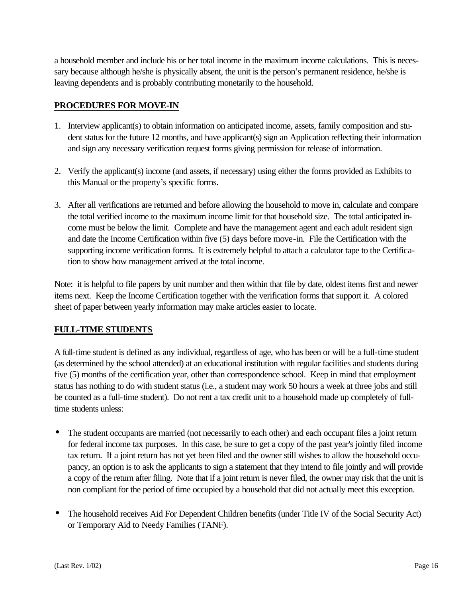a household member and include his or her total income in the maximum income calculations. This is necessary because although he/she is physically absent, the unit is the person's permanent residence, he/she is leaving dependents and is probably contributing monetarily to the household.

#### **PROCEDURES FOR MOVE-IN**

- 1. Interview applicant(s) to obtain information on anticipated income, assets, family composition and student status for the future 12 months, and have applicant(s) sign an Application reflecting their information and sign any necessary verification request forms giving permission for release of information.
- 2. Verify the applicant(s) income (and assets, if necessary) using either the forms provided as Exhibits to this Manual or the property's specific forms.
- 3. After all verifications are returned and before allowing the household to move in, calculate and compare the total verified income to the maximum income limit for that household size. The total anticipated income must be below the limit. Complete and have the management agent and each adult resident sign and date the Income Certification within five (5) days before move-in. File the Certification with the supporting income verification forms. It is extremely helpful to attach a calculator tape to the Certification to show how management arrived at the total income.

Note: it is helpful to file papers by unit number and then within that file by date, oldest items first and newer items next. Keep the Income Certification together with the verification forms that support it. A colored sheet of paper between yearly information may make articles easier to locate.

#### **FULL-TIME STUDENTS**

A full-time student is defined as any individual, regardless of age, who has been or will be a full-time student (as determined by the school attended) at an educational institution with regular facilities and students during five (5) months of the certification year, other than correspondence school. Keep in mind that employment status has nothing to do with student status (i.e., a student may work 50 hours a week at three jobs and still be counted as a full-time student). Do not rent a tax credit unit to a household made up completely of fulltime students unless:

- The student occupants are married (not necessarily to each other) and each occupant files a joint return for federal income tax purposes. In this case, be sure to get a copy of the past year's jointly filed income tax return. If a joint return has not yet been filed and the owner still wishes to allow the household occupancy, an option is to ask the applicants to sign a statement that they intend to file jointly and will provide a copy of the return after filing. Note that if a joint return is never filed, the owner may risk that the unit is non compliant for the period of time occupied by a household that did not actually meet this exception.
- The household receives Aid For Dependent Children benefits (under Title IV of the Social Security Act) or Temporary Aid to Needy Families (TANF).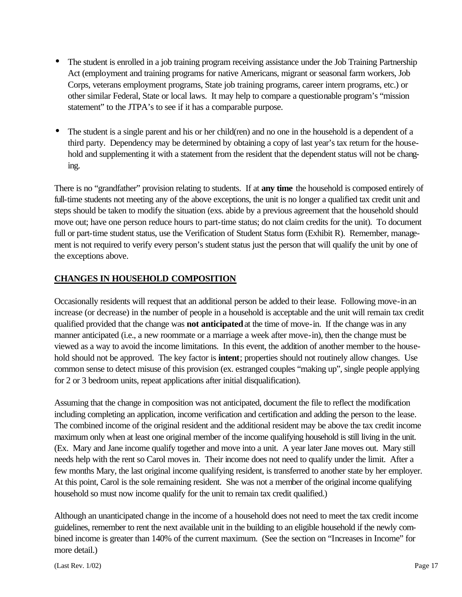- The student is enrolled in a job training program receiving assistance under the Job Training Partnership Act (employment and training programs for native Americans, migrant or seasonal farm workers, Job Corps, veterans employment programs, State job training programs, career intern programs, etc.) or other similar Federal, State or local laws. It may help to compare a questionable program's "mission statement" to the JTPA's to see if it has a comparable purpose.
- The student is a single parent and his or her child(ren) and no one in the household is a dependent of a third party. Dependency may be determined by obtaining a copy of last year's tax return for the household and supplementing it with a statement from the resident that the dependent status will not be changing.

There is no "grandfather" provision relating to students. If at **any time** the household is composed entirely of full-time students not meeting any of the above exceptions, the unit is no longer a qualified tax credit unit and steps should be taken to modify the situation (exs. abide by a previous agreement that the household should move out; have one person reduce hours to part-time status; do not claim credits for the unit). To document full or part-time student status, use the Verification of Student Status form (Exhibit R). Remember, management is not required to verify every person's student status just the person that will qualify the unit by one of the exceptions above.

#### **CHANGES IN HOUSEHOLD COMPOSITION**

Occasionally residents will request that an additional person be added to their lease. Following move-in an increase (or decrease) in the number of people in a household is acceptable and the unit will remain tax credit qualified provided that the change was **not anticipated** at the time of move-in. If the change was in any manner anticipated (i.e., a new roommate or a marriage a week after move-in), then the change must be viewed as a way to avoid the income limitations. In this event, the addition of another member to the household should not be approved. The key factor is **intent**; properties should not routinely allow changes. Use common sense to detect misuse of this provision (ex. estranged couples "making up", single people applying for 2 or 3 bedroom units, repeat applications after initial disqualification).

Assuming that the change in composition was not anticipated, document the file to reflect the modification including completing an application, income verification and certification and adding the person to the lease. The combined income of the original resident and the additional resident may be above the tax credit income maximum only when at least one original member of the income qualifying household is still living in the unit. (Ex. Mary and Jane income qualify together and move into a unit. A year later Jane moves out. Mary still needs help with the rent so Carol moves in. Their income does not need to qualify under the limit. After a few months Mary, the last original income qualifying resident, is transferred to another state by her employer. At this point, Carol is the sole remaining resident. She was not a member of the original income qualifying household so must now income qualify for the unit to remain tax credit qualified.)

Although an unanticipated change in the income of a household does not need to meet the tax credit income guidelines, remember to rent the next available unit in the building to an eligible household if the newly combined income is greater than 140% of the current maximum. (See the section on "Increases in Income" for more detail.)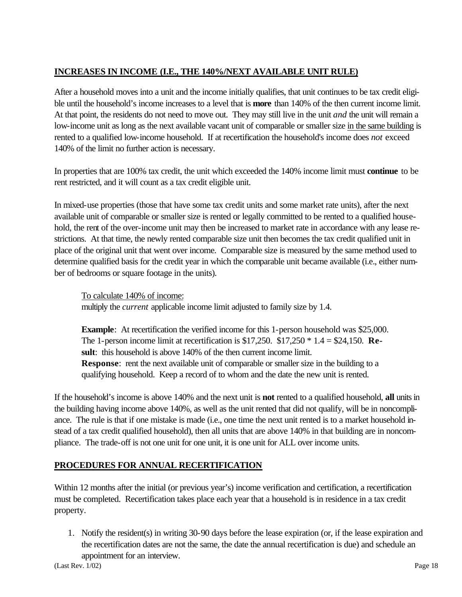#### **INCREASES IN INCOME (I.E., THE 140%/NEXT AVAILABLE UNIT RULE)**

After a household moves into a unit and the income initially qualifies, that unit continues to be tax credit eligible until the household's income increases to a level that is **more** than 140% of the then current income limit. At that point, the residents do not need to move out. They may still live in the unit *and* the unit will remain a low-income unit as long as the next available vacant unit of comparable or smaller size in the same building is rented to a qualified low-income household. If at recertification the household's income does *not* exceed 140% of the limit no further action is necessary.

In properties that are 100% tax credit, the unit which exceeded the 140% income limit must **continue** to be rent restricted, and it will count as a tax credit eligible unit.

In mixed-use properties (those that have some tax credit units and some market rate units), after the next available unit of comparable or smaller size is rented or legally committed to be rented to a qualified household, the rent of the over-income unit may then be increased to market rate in accordance with any lease restrictions. At that time, the newly rented comparable size unit then becomes the tax credit qualified unit in place of the original unit that went over income. Comparable size is measured by the same method used to determine qualified basis for the credit year in which the comparable unit became available (i.e., either number of bedrooms or square footage in the units).

To calculate 140% of income:

multiply the *current* applicable income limit adjusted to family size by 1.4.

**Example**: At recertification the verified income for this 1-person household was \$25,000. The 1-person income limit at recertification is \$17,250. \$17,250 \* 1.4 = \$24,150. **Result**: this household is above 140% of the then current income limit. **Response**: rent the next available unit of comparable or smaller size in the building to a qualifying household. Keep a record of to whom and the date the new unit is rented.

If the household's income is above 140% and the next unit is **not** rented to a qualified household, **all** units in the building having income above 140%, as well as the unit rented that did not qualify, will be in noncompliance. The rule is that if one mistake is made (i.e., one time the next unit rented is to a market household instead of a tax credit qualified household), then all units that are above 140% in that building are in noncompliance. The trade-off is not one unit for one unit, it is one unit for ALL over income units.

#### **PROCEDURES FOR ANNUAL RECERTIFICATION**

Within 12 months after the initial (or previous year's) income verification and certification, a recertification must be completed. Recertification takes place each year that a household is in residence in a tax credit property.

1. Notify the resident(s) in writing 30-90 days before the lease expiration (or, if the lease expiration and the recertification dates are not the same, the date the annual recertification is due) and schedule an appointment for an interview.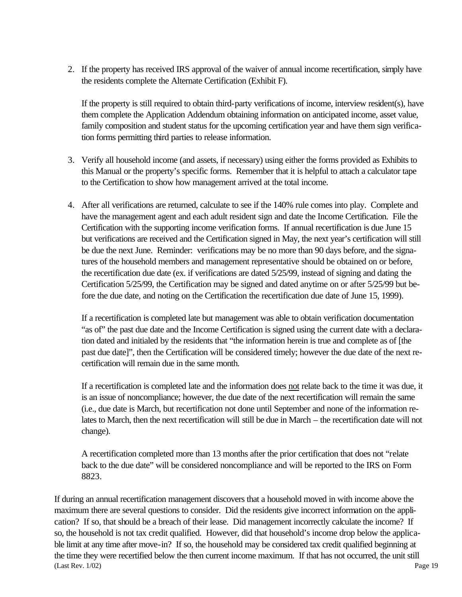2. If the property has received IRS approval of the waiver of annual income recertification, simply have the residents complete the Alternate Certification (Exhibit F).

If the property is still required to obtain third-party verifications of income, interview resident(s), have them complete the Application Addendum obtaining information on anticipated income, asset value, family composition and student status for the upcoming certification year and have them sign verification forms permitting third parties to release information.

- 3. Verify all household income (and assets, if necessary) using either the forms provided as Exhibits to this Manual or the property's specific forms. Remember that it is helpful to attach a calculator tape to the Certification to show how management arrived at the total income.
- 4. After all verifications are returned, calculate to see if the 140% rule comes into play. Complete and have the management agent and each adult resident sign and date the Income Certification. File the Certification with the supporting income verification forms. If annual recertification is due June 15 but verifications are received and the Certification signed in May, the next year's certification will still be due the next June. Reminder: verifications may be no more than 90 days before, and the signatures of the household members and management representative should be obtained on or before, the recertification due date (ex. if verifications are dated 5/25/99, instead of signing and dating the Certification 5/25/99, the Certification may be signed and dated anytime on or after 5/25/99 but before the due date, and noting on the Certification the recertification due date of June 15, 1999).

If a recertification is completed late but management was able to obtain verification documentation "as of" the past due date and the Income Certification is signed using the current date with a declaration dated and initialed by the residents that "the information herein is true and complete as of [the past due date]", then the Certification will be considered timely; however the due date of the next recertification will remain due in the same month.

If a recertification is completed late and the information does not relate back to the time it was due, it is an issue of noncompliance; however, the due date of the next recertification will remain the same (i.e., due date is March, but recertification not done until September and none of the information relates to March, then the next recertification will still be due in March – the recertification date will not change).

A recertification completed more than 13 months after the prior certification that does not "relate back to the due date" will be considered noncompliance and will be reported to the IRS on Form 8823.

(Last Rev. 1/02) Page 19 If during an annual recertification management discovers that a household moved in with income above the maximum there are several questions to consider. Did the residents give incorrect information on the application? If so, that should be a breach of their lease. Did management incorrectly calculate the income? If so, the household is not tax credit qualified. However, did that household's income drop below the applicable limit at any time after move-in? If so, the household may be considered tax credit qualified beginning at the time they were recertified below the then current income maximum. If that has not occurred, the unit still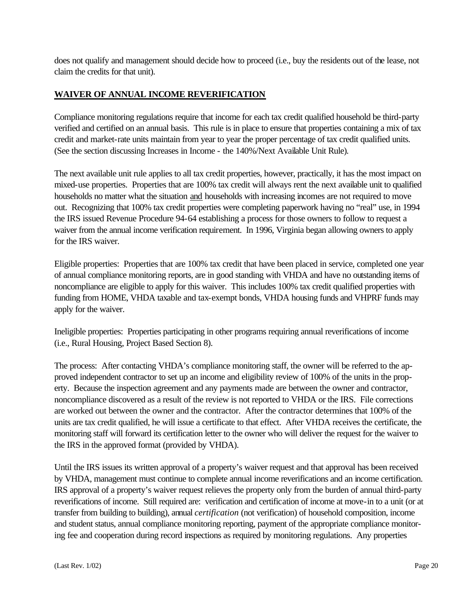does not qualify and management should decide how to proceed (i.e., buy the residents out of the lease, not claim the credits for that unit).

#### **WAIVER OF ANNUAL INCOME REVERIFICATION**

Compliance monitoring regulations require that income for each tax credit qualified household be third-party verified and certified on an annual basis. This rule is in place to ensure that properties containing a mix of tax credit and market-rate units maintain from year to year the proper percentage of tax credit qualified units. (See the section discussing Increases in Income - the 140%/Next Available Unit Rule).

The next available unit rule applies to all tax credit properties, however, practically, it has the most impact on mixed-use properties. Properties that are 100% tax credit will always rent the next available unit to qualified households no matter what the situation and households with increasing incomes are not required to move out. Recognizing that 100% tax credit properties were completing paperwork having no "real" use, in 1994 the IRS issued Revenue Procedure 94-64 establishing a process for those owners to follow to request a waiver from the annual income verification requirement. In 1996, Virginia began allowing owners to apply for the IRS waiver.

Eligible properties: Properties that are 100% tax credit that have been placed in service, completed one year of annual compliance monitoring reports, are in good standing with VHDA and have no outstanding items of noncompliance are eligible to apply for this waiver. This includes 100% tax credit qualified properties with funding from HOME, VHDA taxable and tax-exempt bonds, VHDA housing funds and VHPRF funds may apply for the waiver.

Ineligible properties: Properties participating in other programs requiring annual reverifications of income (i.e., Rural Housing, Project Based Section 8).

The process: After contacting VHDA's compliance monitoring staff, the owner will be referred to the approved independent contractor to set up an income and eligibility review of 100% of the units in the property. Because the inspection agreement and any payments made are between the owner and contractor, noncompliance discovered as a result of the review is not reported to VHDA or the IRS. File corrections are worked out between the owner and the contractor. After the contractor determines that 100% of the units are tax credit qualified, he will issue a certificate to that effect. After VHDA receives the certificate, the monitoring staff will forward its certification letter to the owner who will deliver the request for the waiver to the IRS in the approved format (provided by VHDA).

Until the IRS issues its written approval of a property's waiver request and that approval has been received by VHDA, management must continue to complete annual income reverifications and an income certification. IRS approval of a property's waiver request relieves the property only from the burden of annual third-party reverifications of income. Still required are: verification and certification of income at move-in to a unit (or at transfer from building to building), annual *certification* (not verification) of household composition, income and student status, annual compliance monitoring reporting, payment of the appropriate compliance monitoring fee and cooperation during record inspections as required by monitoring regulations. Any properties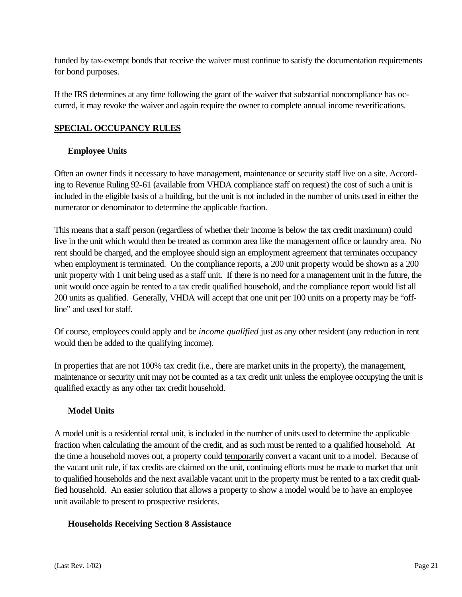funded by tax-exempt bonds that receive the waiver must continue to satisfy the documentation requirements for bond purposes.

If the IRS determines at any time following the grant of the waiver that substantial noncompliance has occurred, it may revoke the waiver and again require the owner to complete annual income reverifications.

#### **SPECIAL OCCUPANCY RULES**

#### **Employee Units**

Often an owner finds it necessary to have management, maintenance or security staff live on a site. According to Revenue Ruling 92-61 (available from VHDA compliance staff on request) the cost of such a unit is included in the eligible basis of a building, but the unit is not included in the number of units used in either the numerator or denominator to determine the applicable fraction.

This means that a staff person (regardless of whether their income is below the tax credit maximum) could live in the unit which would then be treated as common area like the management office or laundry area. No rent should be charged, and the employee should sign an employment agreement that terminates occupancy when employment is terminated. On the compliance reports, a 200 unit property would be shown as a 200 unit property with 1 unit being used as a staff unit. If there is no need for a management unit in the future, the unit would once again be rented to a tax credit qualified household, and the compliance report would list all 200 units as qualified. Generally, VHDA will accept that one unit per 100 units on a property may be "offline" and used for staff.

Of course, employees could apply and be *income qualified* just as any other resident (any reduction in rent would then be added to the qualifying income).

In properties that are not 100% tax credit (i.e., there are market units in the property), the management, maintenance or security unit may not be counted as a tax credit unit unless the employee occupying the unit is qualified exactly as any other tax credit household.

#### **Model Units**

A model unit is a residential rental unit, is included in the number of units used to determine the applicable fraction when calculating the amount of the credit, and as such must be rented to a qualified household. At the time a household moves out, a property could temporarily convert a vacant unit to a model. Because of the vacant unit rule, if tax credits are claimed on the unit, continuing efforts must be made to market that unit to qualified households and the next available vacant unit in the property must be rented to a tax credit qualified household. An easier solution that allows a property to show a model would be to have an employee unit available to present to prospective residents.

#### **Households Receiving Section 8 Assistance**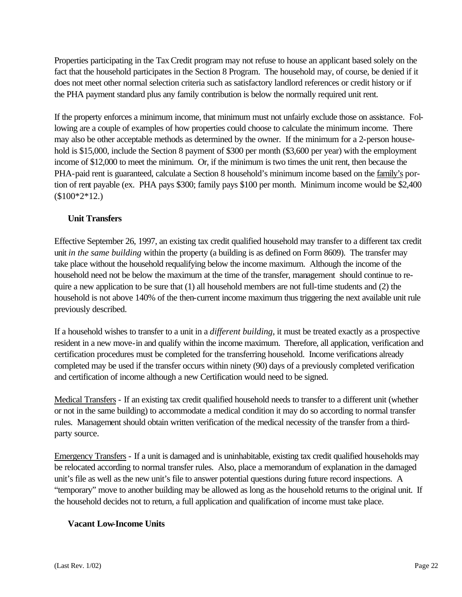Properties participating in the Tax Credit program may not refuse to house an applicant based solely on the fact that the household participates in the Section 8 Program. The household may, of course, be denied if it does not meet other normal selection criteria such as satisfactory landlord references or credit history or if the PHA payment standard plus any family contribution is below the normally required unit rent.

If the property enforces a minimum income, that minimum must not unfairly exclude those on assistance. Following are a couple of examples of how properties could choose to calculate the minimum income. There may also be other acceptable methods as determined by the owner. If the minimum for a 2-person household is \$15,000, include the Section 8 payment of \$300 per month (\$3,600 per year) with the employment income of \$12,000 to meet the minimum. Or, if the minimum is two times the unit rent, then because the PHA-paid rent is guaranteed, calculate a Section 8 household's minimum income based on the family's portion of rent payable (ex. PHA pays \$300; family pays \$100 per month. Minimum income would be \$2,400 (\$100\*2\*12.)

#### **Unit Transfers**

Effective September 26, 1997, an existing tax credit qualified household may transfer to a different tax credit unit *in the same building* within the property (a building is as defined on Form 8609). The transfer may take place without the household requalifying below the income maximum. Although the income of the household need not be below the maximum at the time of the transfer, management should continue to require a new application to be sure that  $(1)$  all household members are not full-time students and  $(2)$  the household is not above 140% of the then-current income maximum thus triggering the next available unit rule previously described.

If a household wishes to transfer to a unit in a *different building*, it must be treated exactly as a prospective resident in a new move-in and qualify within the income maximum. Therefore, all application, verification and certification procedures must be completed for the transferring household. Income verifications already completed may be used if the transfer occurs within ninety (90) days of a previously completed verification and certification of income although a new Certification would need to be signed.

Medical Transfers - If an existing tax credit qualified household needs to transfer to a different unit (whether or not in the same building) to accommodate a medical condition it may do so according to normal transfer rules. Management should obtain written verification of the medical necessity of the transfer from a thirdparty source.

Emergency Transfers - If a unit is damaged and is uninhabitable, existing tax credit qualified households may be relocated according to normal transfer rules. Also, place a memorandum of explanation in the damaged unit's file as well as the new unit's file to answer potential questions during future record inspections. A "temporary" move to another building may be allowed as long as the household returns to the original unit. If the household decides not to return, a full application and qualification of income must take place.

#### **Vacant Low-Income Units**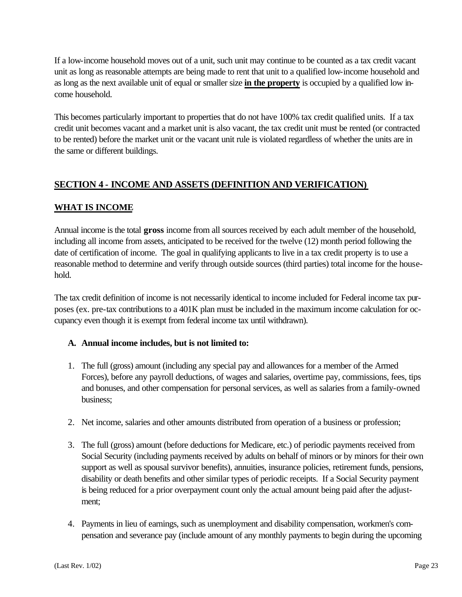If a low-income household moves out of a unit, such unit may continue to be counted as a tax credit vacant unit as long as reasonable attempts are being made to rent that unit to a qualified low-income household and as long as the next available unit of equal or smaller size **in the property** is occupied by a qualified low income household.

This becomes particularly important to properties that do not have 100% tax credit qualified units. If a tax credit unit becomes vacant and a market unit is also vacant, the tax credit unit must be rented (or contracted to be rented) before the market unit or the vacant unit rule is violated regardless of whether the units are in the same or different buildings.

#### **SECTION 4 - INCOME AND ASSETS (DEFINITION AND VERIFICATION)**

#### **WHAT IS INCOME**

Annual income is the total **gross** income from all sources received by each adult member of the household, including all income from assets, anticipated to be received for the twelve (12) month period following the date of certification of income. The goal in qualifying applicants to live in a tax credit property is to use a reasonable method to determine and verify through outside sources (third parties) total income for the household.

The tax credit definition of income is not necessarily identical to income included for Federal income tax purposes (ex. pre-tax contributions to a 401K plan must be included in the maximum income calculation for occupancy even though it is exempt from federal income tax until withdrawn).

#### **A. Annual income includes, but is not limited to:**

- 1. The full (gross) amount (including any special pay and allowances for a member of the Armed Forces), before any payroll deductions, of wages and salaries, overtime pay, commissions, fees, tips and bonuses, and other compensation for personal services, as well as salaries from a family-owned business;
- 2. Net income, salaries and other amounts distributed from operation of a business or profession;
- 3. The full (gross) amount (before deductions for Medicare, etc.) of periodic payments received from Social Security (including payments received by adults on behalf of minors or by minors for their own support as well as spousal survivor benefits), annuities, insurance policies, retirement funds, pensions, disability or death benefits and other similar types of periodic receipts. If a Social Security payment is being reduced for a prior overpayment count only the actual amount being paid after the adjustment;
- 4. Payments in lieu of earnings, such as unemployment and disability compensation, workmen's compensation and severance pay (include amount of any monthly payments to begin during the upcoming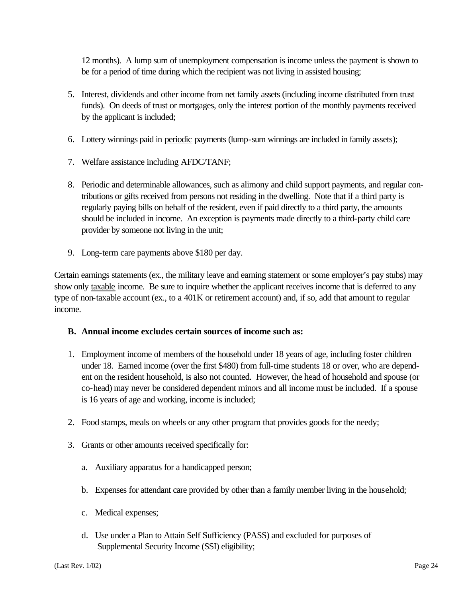12 months). A lump sum of unemployment compensation is income unless the payment is shown to be for a period of time during which the recipient was not living in assisted housing;

- 5. Interest, dividends and other income from net family assets (including income distributed from trust funds). On deeds of trust or mortgages, only the interest portion of the monthly payments received by the applicant is included;
- 6. Lottery winnings paid in periodic payments (lump-sum winnings are included in family assets);
- 7. Welfare assistance including AFDC/TANF;
- 8. Periodic and determinable allowances, such as alimony and child support payments, and regular contributions or gifts received from persons not residing in the dwelling. Note that if a third party is regularly paying bills on behalf of the resident, even if paid directly to a third party, the amounts should be included in income. An exception is payments made directly to a third-party child care provider by someone not living in the unit;
- 9. Long-term care payments above \$180 per day.

Certain earnings statements (ex., the military leave and earning statement or some employer's pay stubs) may show only taxable income. Be sure to inquire whether the applicant receives income that is deferred to any type of non-taxable account (ex., to a 401K or retirement account) and, if so, add that amount to regular income.

#### **B. Annual income excludes certain sources of income such as:**

- 1. Employment income of members of the household under 18 years of age, including foster children under 18. Earned income (over the first \$480) from full-time students 18 or over, who are dependent on the resident household, is also not counted. However, the head of household and spouse (or co-head) may never be considered dependent minors and all income must be included. If a spouse is 16 years of age and working, income is included;
- 2. Food stamps, meals on wheels or any other program that provides goods for the needy;
- 3. Grants or other amounts received specifically for:
	- a. Auxiliary apparatus for a handicapped person;
	- b. Expenses for attendant care provided by other than a family member living in the household;
	- c. Medical expenses;
	- d. Use under a Plan to Attain Self Sufficiency (PASS) and excluded for purposes of Supplemental Security Income (SSI) eligibility;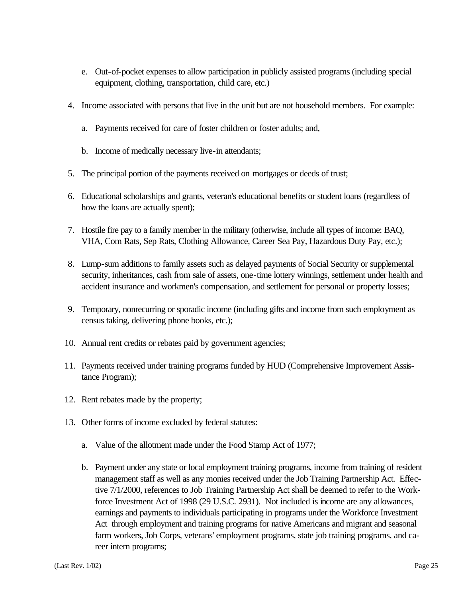- e. Out-of-pocket expenses to allow participation in publicly assisted programs (including special equipment, clothing, transportation, child care, etc.)
- 4. Income associated with persons that live in the unit but are not household members. For example:
	- a. Payments received for care of foster children or foster adults; and,
	- b. Income of medically necessary live-in attendants;
- 5. The principal portion of the payments received on mortgages or deeds of trust;
- 6. Educational scholarships and grants, veteran's educational benefits or student loans (regardless of how the loans are actually spent);
- 7. Hostile fire pay to a family member in the military (otherwise, include all types of income: BAQ, VHA, Com Rats, Sep Rats, Clothing Allowance, Career Sea Pay, Hazardous Duty Pay, etc.);
- 8. Lump-sum additions to family assets such as delayed payments of Social Security or supplemental security, inheritances, cash from sale of assets, one-time lottery winnings, settlement under health and accident insurance and workmen's compensation, and settlement for personal or property losses;
- 9. Temporary, nonrecurring or sporadic income (including gifts and income from such employment as census taking, delivering phone books, etc.);
- 10. Annual rent credits or rebates paid by government agencies;
- 11. Payments received under training programs funded by HUD (Comprehensive Improvement Assistance Program);
- 12. Rent rebates made by the property;
- 13. Other forms of income excluded by federal statutes:
	- a. Value of the allotment made under the Food Stamp Act of 1977;
	- b. Payment under any state or local employment training programs, income from training of resident management staff as well as any monies received under the Job Training Partnership Act. Effective 7/1/2000, references to Job Training Partnership Act shall be deemed to refer to the Workforce Investment Act of 1998 (29 U.S.C. 2931). Not included is income are any allowances, earnings and payments to individuals participating in programs under the Workforce Investment Act through employment and training programs for native Americans and migrant and seasonal farm workers, Job Corps, veterans' employment programs, state job training programs, and career intern programs;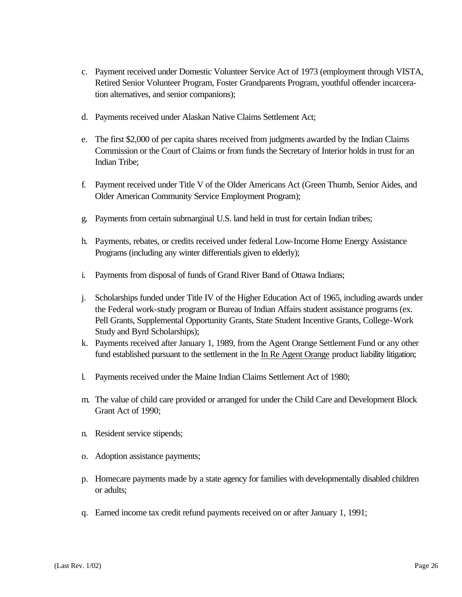- c. Payment received under Domestic Volunteer Service Act of 1973 (employment through VISTA, Retired Senior Volunteer Program, Foster Grandparents Program, youthful offender incarceration alternatives, and senior companions);
- d. Payments received under Alaskan Native Claims Settlement Act;
- e. The first \$2,000 of per capita shares received from judgments awarded by the Indian Claims Commission or the Court of Claims or from funds the Secretary of Interior holds in trust for an Indian Tribe;
- f. Payment received under Title V of the Older Americans Act (Green Thumb, Senior Aides, and Older American Community Service Employment Program);
- g. Payments from certain submarginal U.S. land held in trust for certain Indian tribes;
- h. Payments, rebates, or credits received under federal Low-Income Home Energy Assistance Programs (including any winter differentials given to elderly);
- i. Payments from disposal of funds of Grand River Band of Ottawa Indians;
- j. Scholarships funded under Title IV of the Higher Education Act of 1965, including awards under the Federal work-study program or Bureau of Indian Affairs student assistance programs (ex. Pell Grants, Supplemental Opportunity Grants, State Student Incentive Grants, College-Work Study and Byrd Scholarships);
- k. Payments received after January 1, 1989, from the Agent Orange Settlement Fund or any other fund established pursuant to the settlement in the In Re Agent Orange product liability litigation;
- l. Payments received under the Maine Indian Claims Settlement Act of 1980;
- m. The value of child care provided or arranged for under the Child Care and Development Block Grant Act of 1990;
- n. Resident service stipends;
- o. Adoption assistance payments;
- p. Homecare payments made by a state agency for families with developmentally disabled children or adults;
- q. Earned income tax credit refund payments received on or after January 1, 1991;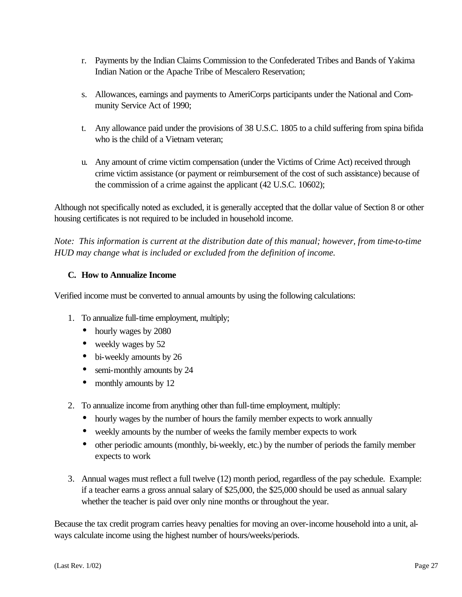- r. Payments by the Indian Claims Commission to the Confederated Tribes and Bands of Yakima Indian Nation or the Apache Tribe of Mescalero Reservation;
- s. Allowances, earnings and payments to AmeriCorps participants under the National and Community Service Act of 1990;
- t. Any allowance paid under the provisions of 38 U.S.C. 1805 to a child suffering from spina bifida who is the child of a Vietnam veteran;
- u. Any amount of crime victim compensation (under the Victims of Crime Act) received through crime victim assistance (or payment or reimbursement of the cost of such assistance) because of the commission of a crime against the applicant (42 U.S.C. 10602);

Although not specifically noted as excluded, it is generally accepted that the dollar value of Section 8 or other housing certificates is not required to be included in household income.

*Note: This information is current at the distribution date of this manual; however, from time-to-time HUD may change what is included or excluded from the definition of income.*

#### **C. How to Annualize Income**

Verified income must be converted to annual amounts by using the following calculations:

- 1. To annualize full-time employment, multiply;
	- hourly wages by 2080
	- weekly wages by 52
	- bi-weekly amounts by 26
	- semi-monthly amounts by 24
	- monthly amounts by 12
- 2. To annualize income from anything other than full-time employment, multiply:
	- hourly wages by the number of hours the family member expects to work annually
	- weekly amounts by the number of weeks the family member expects to work
	- other periodic amounts (monthly, bi-weekly, etc.) by the number of periods the family member expects to work
- 3. Annual wages must reflect a full twelve (12) month period, regardless of the pay schedule. Example: if a teacher earns a gross annual salary of \$25,000, the \$25,000 should be used as annual salary whether the teacher is paid over only nine months or throughout the year.

Because the tax credit program carries heavy penalties for moving an over-income household into a unit, always calculate income using the highest number of hours/weeks/periods.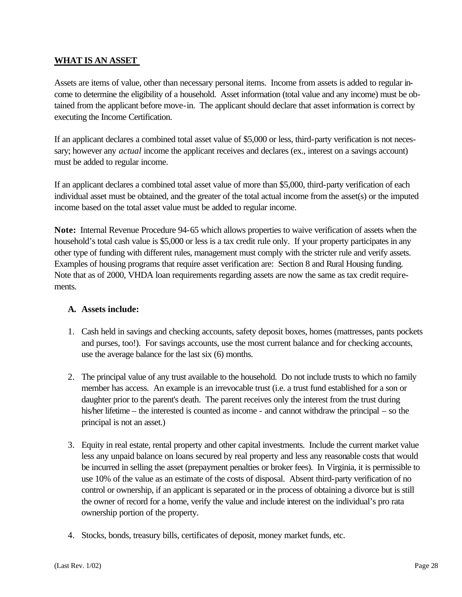#### **WHAT IS AN ASSET**

Assets are items of value, other than necessary personal items. Income from assets is added to regular income to determine the eligibility of a household. Asset information (total value and any income) must be obtained from the applicant before move-in. The applicant should declare that asset information is correct by executing the Income Certification.

If an applicant declares a combined total asset value of \$5,000 or less, third-party verification is not necessary; however any *actual* income the applicant receives and declares (ex., interest on a savings account) must be added to regular income.

If an applicant declares a combined total asset value of more than \$5,000, third-party verification of each individual asset must be obtained, and the greater of the total actual income from the asset(s) or the imputed income based on the total asset value must be added to regular income.

**Note:** Internal Revenue Procedure 94-65 which allows properties to waive verification of assets when the household's total cash value is \$5,000 or less is a tax credit rule only. If your property participates in any other type of funding with different rules, management must comply with the stricter rule and verify assets. Examples of housing programs that require asset verification are: Section 8 and Rural Housing funding. Note that as of 2000, VHDA loan requirements regarding assets are now the same as tax credit requirements.

#### **A. Assets include:**

- 1. Cash held in savings and checking accounts, safety deposit boxes, homes (mattresses, pants pockets and purses, too!). For savings accounts, use the most current balance and for checking accounts, use the average balance for the last six (6) months.
- 2. The principal value of any trust available to the household. Do not include trusts to which no family member has access. An example is an irrevocable trust (i.e. a trust fund established for a son or daughter prior to the parent's death. The parent receives only the interest from the trust during his/her lifetime – the interested is counted as income - and cannot withdraw the principal – so the principal is not an asset.)
- 3. Equity in real estate, rental property and other capital investments. Include the current market value less any unpaid balance on loans secured by real property and less any reasonable costs that would be incurred in selling the asset (prepayment penalties or broker fees). In Virginia, it is permissible to use 10% of the value as an estimate of the costs of disposal. Absent third-party verification of no control or ownership, if an applicant is separated or in the process of obtaining a divorce but is still the owner of record for a home, verify the value and include interest on the individual's pro rata ownership portion of the property.
- 4. Stocks, bonds, treasury bills, certificates of deposit, money market funds, etc.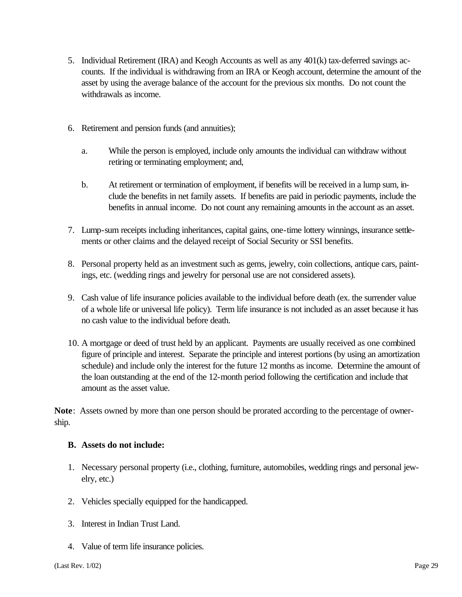- 5. Individual Retirement (IRA) and Keogh Accounts as well as any 401(k) tax-deferred savings accounts. If the individual is withdrawing from an IRA or Keogh account, determine the amount of the asset by using the average balance of the account for the previous six months. Do not count the withdrawals as income.
- 6. Retirement and pension funds (and annuities);
	- a. While the person is employed, include only amounts the individual can withdraw without retiring or terminating employment; and,
	- b. At retirement or termination of employment, if benefits will be received in a lump sum, include the benefits in net family assets. If benefits are paid in periodic payments, include the benefits in annual income. Do not count any remaining amounts in the account as an asset.
- 7. Lump-sum receipts including inheritances, capital gains, one-time lottery winnings, insurance settlements or other claims and the delayed receipt of Social Security or SSI benefits.
- 8. Personal property held as an investment such as gems, jewelry, coin collections, antique cars, paintings, etc. (wedding rings and jewelry for personal use are not considered assets).
- 9. Cash value of life insurance policies available to the individual before death (ex. the surrender value of a whole life or universal life policy). Term life insurance is not included as an asset because it has no cash value to the individual before death.
- 10. A mortgage or deed of trust held by an applicant. Payments are usually received as one combined figure of principle and interest. Separate the principle and interest portions (by using an amortization schedule) and include only the interest for the future 12 months as income. Determine the amount of the loan outstanding at the end of the 12-month period following the certification and include that amount as the asset value.

**Note**: Assets owned by more than one person should be prorated according to the percentage of ownership.

#### **B. Assets do not include:**

- 1. Necessary personal property (i.e., clothing, furniture, automobiles, wedding rings and personal jewelry, etc.)
- 2. Vehicles specially equipped for the handicapped.
- 3. Interest in Indian Trust Land.
- 4. Value of term life insurance policies.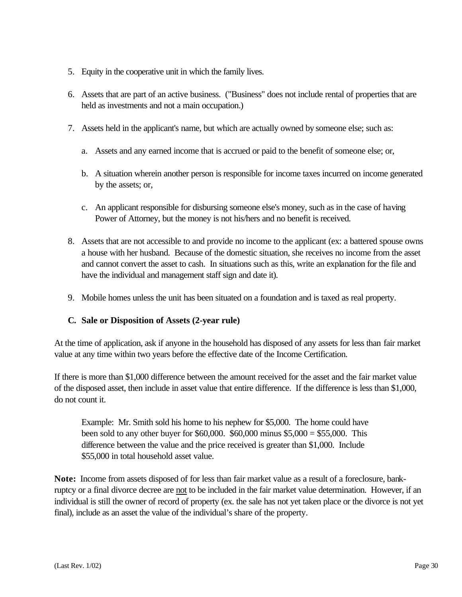- 5. Equity in the cooperative unit in which the family lives.
- 6. Assets that are part of an active business. ("Business" does not include rental of properties that are held as investments and not a main occupation.)
- 7. Assets held in the applicant's name, but which are actually owned by someone else; such as:
	- a. Assets and any earned income that is accrued or paid to the benefit of someone else; or,
	- b. A situation wherein another person is responsible for income taxes incurred on income generated by the assets; or,
	- c. An applicant responsible for disbursing someone else's money, such as in the case of having Power of Attorney, but the money is not his/hers and no benefit is received.
- 8. Assets that are not accessible to and provide no income to the applicant (ex: a battered spouse owns a house with her husband. Because of the domestic situation, she receives no income from the asset and cannot convert the asset to cash. In situations such as this, write an explanation for the file and have the individual and management staff sign and date it).
- 9. Mobile homes unless the unit has been situated on a foundation and is taxed as real property.

#### **C. Sale or Disposition of Assets (2-year rule)**

At the time of application, ask if anyone in the household has disposed of any assets for less than fair market value at any time within two years before the effective date of the Income Certification.

If there is more than \$1,000 difference between the amount received for the asset and the fair market value of the disposed asset, then include in asset value that entire difference. If the difference is less than \$1,000, do not count it.

Example: Mr. Smith sold his home to his nephew for \$5,000. The home could have been sold to any other buyer for \$60,000. \$60,000 minus \$5,000 = \$55,000. This difference between the value and the price received is greater than \$1,000. Include \$55,000 in total household asset value.

**Note:** Income from assets disposed of for less than fair market value as a result of a foreclosure, bankruptcy or a final divorce decree are not to be included in the fair market value determination. However, if an individual is still the owner of record of property (ex. the sale has not yet taken place or the divorce is not yet final), include as an asset the value of the individual's share of the property.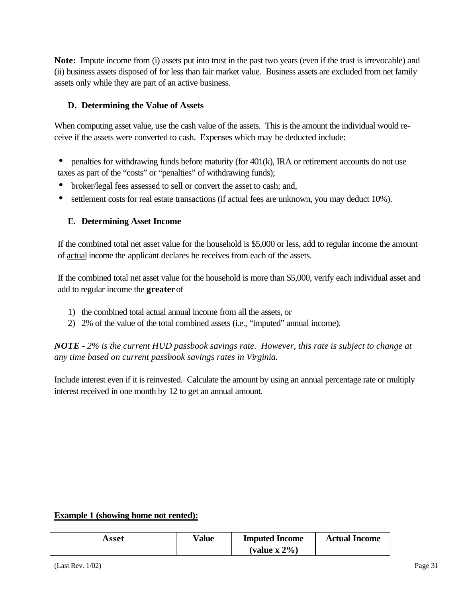**Note:** Impute income from (i) assets put into trust in the past two years (even if the trust is irrevocable) and (ii) business assets disposed of for less than fair market value. Business assets are excluded from net family assets only while they are part of an active business.

#### **D. Determining the Value of Assets**

When computing asset value, use the cash value of the assets. This is the amount the individual would receive if the assets were converted to cash. Expenses which may be deducted include:

- penalties for withdrawing funds before maturity (for 401(k), IRA or retirement accounts do not use taxes as part of the "costs" or "penalties" of withdrawing funds);
- broker/legal fees assessed to sell or convert the asset to cash; and,
- settlement costs for real estate transactions (if actual fees are unknown, you may deduct 10%).

#### **E. Determining Asset Income**

If the combined total net asset value for the household is \$5,000 or less, add to regular income the amount of actual income the applicant declares he receives from each of the assets.

If the combined total net asset value for the household is more than \$5,000, verify each individual asset and add to regular income the **greater** of

- 1) the combined total actual annual income from all the assets, or
- 2) 2% of the value of the total combined assets (i.e., "imputed" annual income).

*NOTE - 2% is the current HUD passbook savings rate. However, this rate is subject to change at any time based on current passbook savings rates in Virginia.* 

Include interest even if it is reinvested. Calculate the amount by using an annual percentage rate or multiply interest received in one month by 12 to get an annual amount.

#### **Example 1 (showing home not rented):**

| Asset | Value | <b>Imputed Income</b> | <b>Actual Income</b> |
|-------|-------|-----------------------|----------------------|
|       |       | (value $x 2\%$ )      |                      |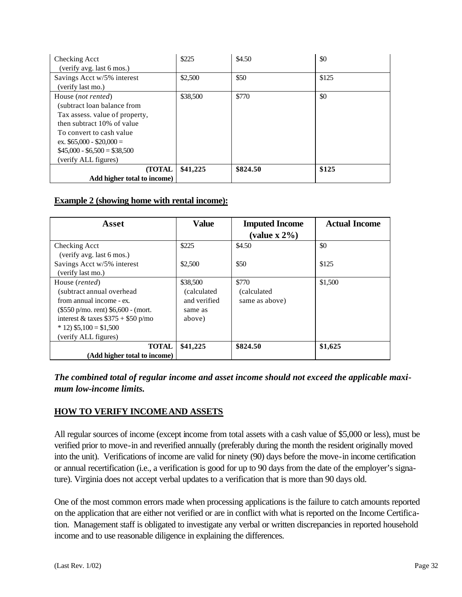| Checking Acct                  | \$225    | \$4.50   | \$0   |
|--------------------------------|----------|----------|-------|
| (verify avg. last 6 mos.)      |          |          |       |
| Savings Acct w/5% interest     | \$2,500  | \$50     | \$125 |
| (verify last mo.)              |          |          |       |
| House (not rented)             | \$38,500 | \$770    | \$0   |
| (subtract loan balance from    |          |          |       |
| Tax assess. value of property, |          |          |       |
| then subtract 10% of value     |          |          |       |
| To convert to cash value       |          |          |       |
| ex. $$65,000 - $20,000 =$      |          |          |       |
| $$45,000 - $6,500 = $38,500$   |          |          |       |
| (verify ALL figures)           |          |          |       |
| <b>(TOTAL)</b>                 | \$41,225 | \$824.50 | \$125 |
| Add higher total to income)    |          |          |       |

#### **Example 2 (showing home with rental income):**

| Asset                                    | <b>Value</b> | <b>Imputed Income</b>         | <b>Actual Income</b> |
|------------------------------------------|--------------|-------------------------------|----------------------|
|                                          |              | $\mathbf{(value \times 2\%)}$ |                      |
| Checking Acct                            | \$225        | \$4.50                        | \$0                  |
| (verify avg. last 6 mos.)                |              |                               |                      |
| Savings Acct w/5% interest               | \$2,500      | \$50                          | \$125                |
| (verify last mo.)                        |              |                               |                      |
| House (rented)                           | \$38,500     | \$770                         | \$1,500              |
| (subtract annual overhead                | (calculated) | (calculated)                  |                      |
| from annual income - ex.                 | and verified | same as above)                |                      |
| $(\$550 p/mol$ . rent) $§6,600 - (mort.$ | same as      |                               |                      |
| interest & taxes $$375 + $50$ p/mo       | above)       |                               |                      |
| $*$ 12) \$5,100 = \$1,500                |              |                               |                      |
| (verify ALL figures)                     |              |                               |                      |
| <b>TOTAL</b>                             | \$41,225     | \$824.50                      | \$1,625              |
| (Add higher total to income)             |              |                               |                      |

#### *The combined total of regular income and asset income should not exceed the applicable maximum low-income limits.*

#### **HOW TO VERIFY INCOME AND ASSETS**

All regular sources of income (except income from total assets with a cash value of \$5,000 or less), must be verified prior to move-in and reverified annually (preferably during the month the resident originally moved into the unit). Verifications of income are valid for ninety (90) days before the move-in income certification or annual recertification (i.e., a verification is good for up to 90 days from the date of the employer's signature). Virginia does not accept verbal updates to a verification that is more than 90 days old.

One of the most common errors made when processing applications is the failure to catch amounts reported on the application that are either not verified or are in conflict with what is reported on the Income Certification. Management staff is obligated to investigate any verbal or written discrepancies in reported household income and to use reasonable diligence in explaining the differences.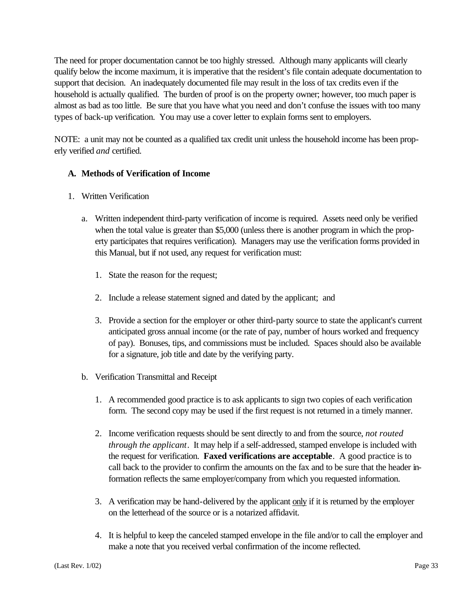The need for proper documentation cannot be too highly stressed. Although many applicants will clearly qualify below the income maximum, it is imperative that the resident's file contain adequate documentation to support that decision. An inadequately documented file may result in the loss of tax credits even if the household is actually qualified. The burden of proof is on the property owner; however, too much paper is almost as bad as too little. Be sure that you have what you need and don't confuse the issues with too many types of back-up verification. You may use a cover letter to explain forms sent to employers.

NOTE: a unit may not be counted as a qualified tax credit unit unless the household income has been properly verified *and* certified.

#### **A. Methods of Verification of Income**

- 1. Written Verification
	- a. Written independent third-party verification of income is required. Assets need only be verified when the total value is greater than \$5,000 (unless there is another program in which the property participates that requires verification). Managers may use the verification forms provided in this Manual, but if not used, any request for verification must:
		- 1. State the reason for the request;
		- 2. Include a release statement signed and dated by the applicant; and
		- 3. Provide a section for the employer or other third-party source to state the applicant's current anticipated gross annual income (or the rate of pay, number of hours worked and frequency of pay). Bonuses, tips, and commissions must be included. Spaces should also be available for a signature, job title and date by the verifying party.
	- b. Verification Transmittal and Receipt
		- 1. A recommended good practice is to ask applicants to sign two copies of each verification form. The second copy may be used if the first request is not returned in a timely manner.
		- 2. Income verification requests should be sent directly to and from the source, *not routed through the applicant*. It may help if a self-addressed, stamped envelope is included with the request for verification. **Faxed verifications are acceptable**. A good practice is to call back to the provider to confirm the amounts on the fax and to be sure that the header information reflects the same employer/company from which you requested information.
		- 3. A verification may be hand-delivered by the applicant only if it is returned by the employer on the letterhead of the source or is a notarized affidavit.
		- 4. It is helpful to keep the canceled stamped envelope in the file and/or to call the employer and make a note that you received verbal confirmation of the income reflected.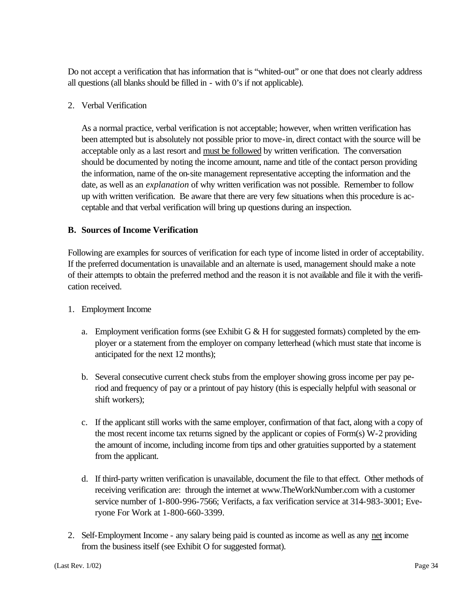Do not accept a verification that has information that is "whited-out" or one that does not clearly address all questions (all blanks should be filled in - with 0's if not applicable).

2. Verbal Verification

As a normal practice, verbal verification is not acceptable; however, when written verification has been attempted but is absolutely not possible prior to move-in, direct contact with the source will be acceptable only as a last resort and must be followed by written verification. The conversation should be documented by noting the income amount, name and title of the contact person providing the information, name of the on-site management representative accepting the information and the date, as well as an *explanation* of why written verification was not possible. Remember to follow up with written verification. Be aware that there are very few situations when this procedure is acceptable and that verbal verification will bring up questions during an inspection.

#### **B. Sources of Income Verification**

Following are examples for sources of verification for each type of income listed in order of acceptability. If the preferred documentation is unavailable and an alternate is used, management should make a note of their attempts to obtain the preferred method and the reason it is not available and file it with the verification received.

- 1. Employment Income
	- a. Employment verification forms (see Exhibit G  $&$  H for suggested formats) completed by the employer or a statement from the employer on company letterhead (which must state that income is anticipated for the next 12 months);
	- b. Several consecutive current check stubs from the employer showing gross income per pay period and frequency of pay or a printout of pay history (this is especially helpful with seasonal or shift workers);
	- c. If the applicant still works with the same employer, confirmation of that fact, along with a copy of the most recent income tax returns signed by the applicant or copies of Form(s) W-2 providing the amount of income, including income from tips and other gratuities supported by a statement from the applicant.
	- d. If third-party written verification is unavailable, document the file to that effect. Other methods of receiving verification are: through the internet at www.TheWorkNumber.com with a customer service number of 1-800-996-7566; Verifacts, a fax verification service at 314-983-3001; Everyone For Work at 1-800-660-3399.
- 2. Self-Employment Income any salary being paid is counted as income as well as any net income from the business itself (see Exhibit O for suggested format).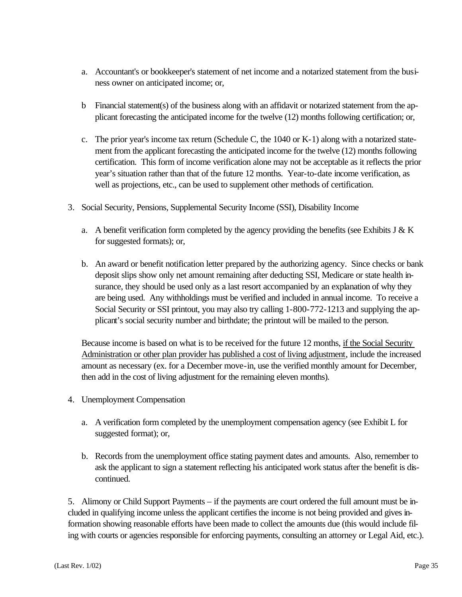- a. Accountant's or bookkeeper's statement of net income and a notarized statement from the business owner on anticipated income; or,
- b Financial statement(s) of the business along with an affidavit or notarized statement from the applicant forecasting the anticipated income for the twelve (12) months following certification; or,
- c. The prior year's income tax return (Schedule C, the 1040 or K-1) along with a notarized statement from the applicant forecasting the anticipated income for the twelve (12) months following certification. This form of income verification alone may not be acceptable as it reflects the prior year's situation rather than that of the future 12 months. Year-to-date income verification, as well as projections, etc., can be used to supplement other methods of certification.
- 3. Social Security, Pensions, Supplemental Security Income (SSI), Disability Income
	- a. A benefit verification form completed by the agency providing the benefits (see Exhibits J  $&$  K for suggested formats); or,
	- b. An award or benefit notification letter prepared by the authorizing agency. Since checks or bank deposit slips show only net amount remaining after deducting SSI, Medicare or state health insurance, they should be used only as a last resort accompanied by an explanation of why they are being used. Any withholdings must be verified and included in annual income. To receive a Social Security or SSI printout, you may also try calling 1-800-772-1213 and supplying the applicant's social security number and birthdate; the printout will be mailed to the person.

Because income is based on what is to be received for the future 12 months, if the Social Security Administration or other plan provider has published a cost of living adjustment, include the increased amount as necessary (ex. for a December move-in, use the verified monthly amount for December, then add in the cost of living adjustment for the remaining eleven months).

- 4. Unemployment Compensation
	- a. A verification form completed by the unemployment compensation agency (see Exhibit L for suggested format); or,
	- b. Records from the unemployment office stating payment dates and amounts. Also, remember to ask the applicant to sign a statement reflecting his anticipated work status after the benefit is discontinued.

5. Alimony or Child Support Payments – if the payments are court ordered the full amount must be included in qualifying income unless the applicant certifies the income is not being provided and gives information showing reasonable efforts have been made to collect the amounts due (this would include filing with courts or agencies responsible for enforcing payments, consulting an attorney or Legal Aid, etc.).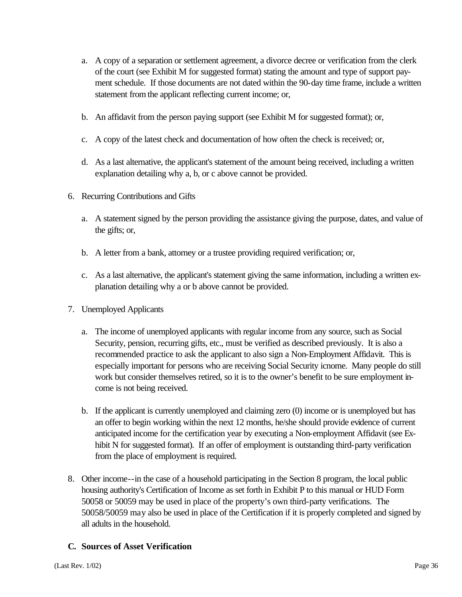- a. A copy of a separation or settlement agreement, a divorce decree or verification from the clerk of the court (see Exhibit M for suggested format) stating the amount and type of support payment schedule. If those documents are not dated within the 90-day time frame, include a written statement from the applicant reflecting current income; or,
- b. An affidavit from the person paying support (see Exhibit M for suggested format); or,
- c. A copy of the latest check and documentation of how often the check is received; or,
- d. As a last alternative, the applicant's statement of the amount being received, including a written explanation detailing why a, b, or c above cannot be provided.
- 6. Recurring Contributions and Gifts
	- a. A statement signed by the person providing the assistance giving the purpose, dates, and value of the gifts; or,
	- b. A letter from a bank, attorney or a trustee providing required verification; or,
	- c. As a last alternative, the applicant's statement giving the same information, including a written explanation detailing why a or b above cannot be provided.
- 7. Unemployed Applicants
	- a. The income of unemployed applicants with regular income from any source, such as Social Security, pension, recurring gifts, etc., must be verified as described previously. It is also a recommended practice to ask the applicant to also sign a Non-Employment Affidavit. This is especially important for persons who are receiving Social Security icnome. Many people do still work but consider themselves retired, so it is to the owner's benefit to be sure employment income is not being received.
	- b. If the applicant is currently unemployed and claiming zero (0) income or is unemployed but has an offer to begin working within the next 12 months, he/she should provide evidence of current anticipated income for the certification year by executing a Non-employment Affidavit (see Exhibit N for suggested format). If an offer of employment is outstanding third-party verification from the place of employment is required.
- 8. Other income--in the case of a household participating in the Section 8 program, the local public housing authority's Certification of Income as set forth in Exhibit P to this manual or HUD Form 50058 or 50059 may be used in place of the property's own third-party verifications. The 50058/50059 may also be used in place of the Certification if it is properly completed and signed by all adults in the household.

#### **C. Sources of Asset Verification**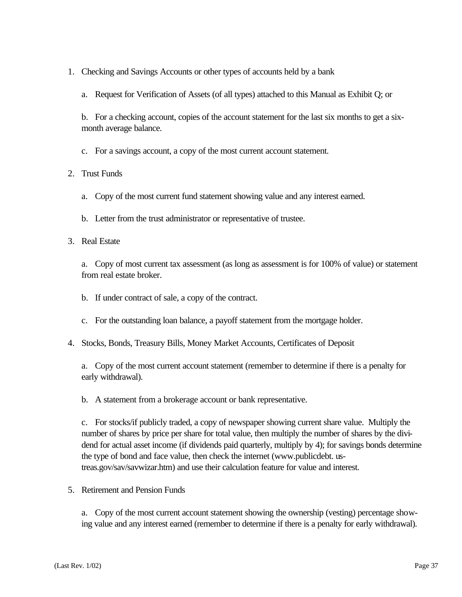- 1. Checking and Savings Accounts or other types of accounts held by a bank
	- a. Request for Verification of Assets (of all types) attached to this Manual as Exhibit Q; or

b. For a checking account, copies of the account statement for the last six months to get a sixmonth average balance.

c. For a savings account, a copy of the most current account statement.

#### 2. Trust Funds

- a. Copy of the most current fund statement showing value and any interest earned.
- b. Letter from the trust administrator or representative of trustee.

#### 3. Real Estate

a. Copy of most current tax assessment (as long as assessment is for 100% of value) or statement from real estate broker.

- b. If under contract of sale, a copy of the contract.
- c. For the outstanding loan balance, a payoff statement from the mortgage holder.
- 4. Stocks, Bonds, Treasury Bills, Money Market Accounts, Certificates of Deposit

a. Copy of the most current account statement (remember to determine if there is a penalty for early withdrawal).

b. A statement from a brokerage account or bank representative.

c. For stocks/if publicly traded, a copy of newspaper showing current share value. Multiply the number of shares by price per share for total value, then multiply the number of shares by the dividend for actual asset income (if dividends paid quarterly, multiply by 4); for savings bonds determine the type of bond and face value, then check the internet (www.publicdebt. ustreas.gov/sav/savwizar.htm) and use their calculation feature for value and interest.

5. Retirement and Pension Funds

a. Copy of the most current account statement showing the ownership (vesting) percentage showing value and any interest earned (remember to determine if there is a penalty for early withdrawal).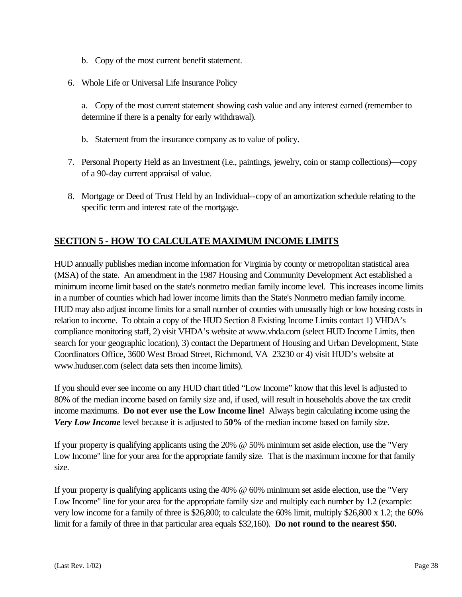- b. Copy of the most current benefit statement.
- 6. Whole Life or Universal Life Insurance Policy

a. Copy of the most current statement showing cash value and any interest earned (remember to determine if there is a penalty for early withdrawal).

- b. Statement from the insurance company as to value of policy.
- 7. Personal Property Held as an Investment (i.e., paintings, jewelry, coin or stamp collections)—copy of a 90-day current appraisal of value.
- 8. Mortgage or Deed of Trust Held by an Individual--copy of an amortization schedule relating to the specific term and interest rate of the mortgage.

#### **SECTION 5 - HOW TO CALCULATE MAXIMUM INCOME LIMITS**

HUD annually publishes median income information for Virginia by county or metropolitan statistical area (MSA) of the state. An amendment in the 1987 Housing and Community Development Act established a minimum income limit based on the state's nonmetro median family income level. This increases income limits in a number of counties which had lower income limits than the State's Nonmetro median family income. HUD may also adjust income limits for a small number of counties with unusually high or low housing costs in relation to income. To obtain a copy of the HUD Section 8 Existing Income Limits contact 1) VHDA's compliance monitoring staff, 2) visit VHDA's website at www.vhda.com (select HUD Income Limits, then search for your geographic location), 3) contact the Department of Housing and Urban Development, State Coordinators Office, 3600 West Broad Street, Richmond, VA 23230 or 4) visit HUD's website at www.huduser.com (select data sets then income limits).

If you should ever see income on any HUD chart titled "Low Income" know that this level is adjusted to 80% of the median income based on family size and, if used, will result in households above the tax credit income maximums. **Do not ever use the Low Income line!** Always begin calculating income using the *Very Low Income* level because it is adjusted to **50%** of the median income based on family size.

If your property is qualifying applicants using the 20% @ 50% minimum set aside election, use the "Very Low Income" line for your area for the appropriate family size. That is the maximum income for that family size.

If your property is qualifying applicants using the 40% @ 60% minimum set aside election, use the "Very Low Income" line for your area for the appropriate family size and multiply each number by 1.2 (example: very low income for a family of three is \$26,800; to calculate the 60% limit, multiply \$26,800 x 1.2; the 60% limit for a family of three in that particular area equals \$32,160). **Do not round to the nearest \$50.**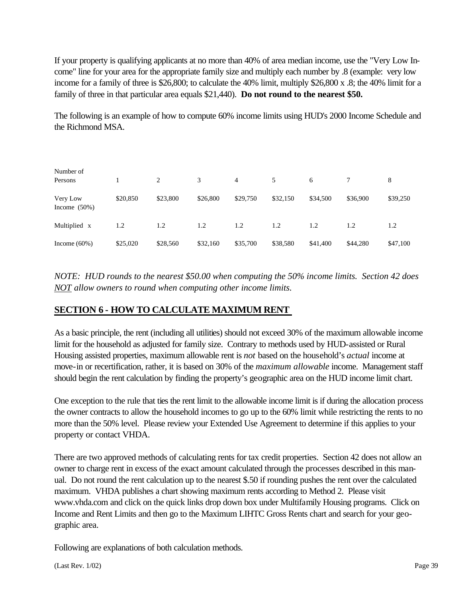If your property is qualifying applicants at no more than 40% of area median income, use the "Very Low Income" line for your area for the appropriate family size and multiply each number by .8 (example: very low income for a family of three is \$26,800; to calculate the 40% limit, multiply \$26,800 x .8; the 40% limit for a family of three in that particular area equals \$21,440). **Do not round to the nearest \$50.**

The following is an example of how to compute 60% income limits using HUD's 2000 Income Schedule and the Richmond MSA.

| Number of                   |          |          |          |          |          |          |          |          |
|-----------------------------|----------|----------|----------|----------|----------|----------|----------|----------|
| Persons                     |          | 2        | 3        | 4        | 5        | 6        |          | 8        |
| Very Low<br>Income $(50\%)$ | \$20,850 | \$23,800 | \$26,800 | \$29,750 | \$32,150 | \$34,500 | \$36,900 | \$39,250 |
| Multiplied x                | 1.2      | 1.2      | 1.2      | 1.2      | 1.2      | 1.2      | 1.2      | 1.2      |
| Income $(60\%)$             | \$25,020 | \$28,560 | \$32,160 | \$35,700 | \$38,580 | \$41,400 | \$44,280 | \$47,100 |

*NOTE: HUD rounds to the nearest \$50.00 when computing the 50% income limits. Section 42 does NOT allow owners to round when computing other income limits.*

#### **SECTION 6 - HOW TO CALCULATE MAXIMUM RENT**

As a basic principle, the rent (including all utilities) should not exceed 30% of the maximum allowable income limit for the household as adjusted for family size. Contrary to methods used by HUD-assisted or Rural Housing assisted properties, maximum allowable rent is *not* based on the household's *actual* income at move-in or recertification, rather, it is based on 30% of the *maximum allowable* income. Management staff should begin the rent calculation by finding the property's geographic area on the HUD income limit chart.

One exception to the rule that ties the rent limit to the allowable income limit is if during the allocation process the owner contracts to allow the household incomes to go up to the 60% limit while restricting the rents to no more than the 50% level. Please review your Extended Use Agreement to determine if this applies to your property or contact VHDA.

There are two approved methods of calculating rents for tax credit properties. Section 42 does not allow an owner to charge rent in excess of the exact amount calculated through the processes described in this manual. Do not round the rent calculation up to the nearest \$.50 if rounding pushes the rent over the calculated maximum. VHDA publishes a chart showing maximum rents according to Method 2. Please visit www.vhda.com and click on the quick links drop down box under Multifamily Housing programs. Click on Income and Rent Limits and then go to the Maximum LIHTC Gross Rents chart and search for your geographic area.

Following are explanations of both calculation methods.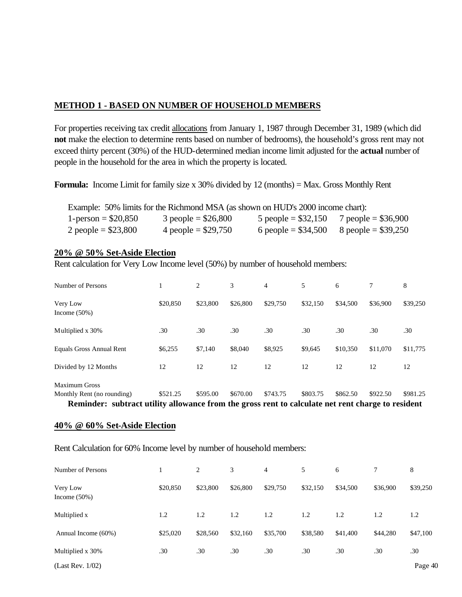#### **METHOD 1 - BASED ON NUMBER OF HOUSEHOLD MEMBERS**

For properties receiving tax credit allocations from January 1, 1987 through December 31, 1989 (which did **not** make the election to determine rents based on number of bedrooms), the household's gross rent may not exceed thirty percent (30%) of the HUD-determined median income limit adjusted for the **actual** number of people in the household for the area in which the property is located.

**Formula:** Income Limit for family size x 30% divided by 12 (months) = Max. Gross Monthly Rent

|                      | Example: 50% limits for the Richmond MSA (as shown on HUD's 2000 income chart): |                      |                       |
|----------------------|---------------------------------------------------------------------------------|----------------------|-----------------------|
| 1-person = $$20,850$ | $3$ people = \$26,800                                                           | 5 people = $$32,150$ | 7 people = $$36,900$  |
| 2 people = $$23,800$ | 4 people = $$29,750$                                                            | 6 people = $$34,500$ | $8$ people = \$39,250 |

#### **20% @ 50% Set-Aside Election**

Rent calculation for Very Low Income level (50%) by number of household members:

| Number of Persons                                                                                 |          | 2        | 3        | 4        | 5        | 6        | 7        | 8        |
|---------------------------------------------------------------------------------------------------|----------|----------|----------|----------|----------|----------|----------|----------|
| Very Low<br>Income $(50\%)$                                                                       | \$20,850 | \$23,800 | \$26,800 | \$29,750 | \$32,150 | \$34,500 | \$36,900 | \$39,250 |
| Multiplied x 30%                                                                                  | .30      | .30      | .30      | .30      | .30      | .30      | .30      | .30      |
| Equals Gross Annual Rent                                                                          | \$6,255  | \$7,140  | \$8,040  | \$8,925  | \$9,645  | \$10,350 | \$11,070 | \$11,775 |
| Divided by 12 Months                                                                              | 12       | 12       | 12       | 12       | 12       | 12       | 12       | 12       |
| <b>Maximum Gross</b>                                                                              |          |          |          |          |          |          |          |          |
| Monthly Rent (no rounding)                                                                        | \$521.25 | \$595.00 | \$670.00 | \$743.75 | \$803.75 | \$862.50 | \$922.50 | \$981.25 |
| Reminder: subtract utility allowance from the gross rent to calculate net rent charge to resident |          |          |          |          |          |          |          |          |

#### **40% @ 60% Set-Aside Election**

Rent Calculation for 60% Income level by number of household members:

| Number of Persons           |          | 2        | 3        | $\overline{4}$ | 5        | 6        |          | 8        |
|-----------------------------|----------|----------|----------|----------------|----------|----------|----------|----------|
| Very Low<br>Income $(50\%)$ | \$20,850 | \$23,800 | \$26,800 | \$29,750       | \$32,150 | \$34,500 | \$36,900 | \$39,250 |
| Multiplied x                | 1.2      | 1.2      | 1.2      | 1.2            | 1.2      | 1.2      | 1.2      | 1.2      |
| Annual Income (60%)         | \$25,020 | \$28,560 | \$32,160 | \$35,700       | \$38,580 | \$41,400 | \$44,280 | \$47,100 |
| Multiplied x 30%            | .30      | .30      | .30      | .30            | .30      | .30      | .30      | .30      |
| (Last Rev. 1/02)            |          |          |          |                |          |          |          | Page 40  |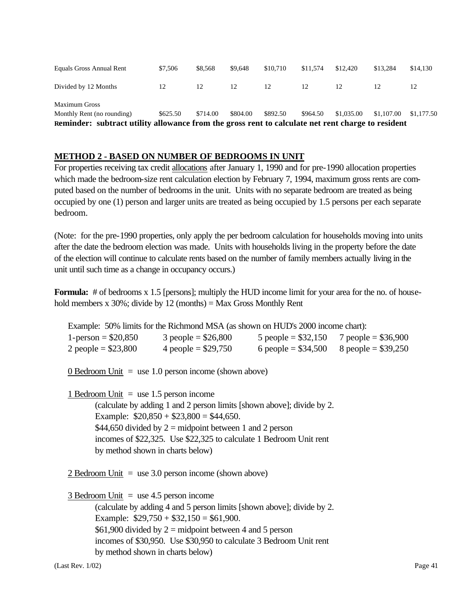| Equals Gross Annual Rent                                                                          | \$7,506  | \$8,568  | \$9.648  | \$10.710 | \$11.574 | \$12.420   | \$13.284   | \$14,130   |
|---------------------------------------------------------------------------------------------------|----------|----------|----------|----------|----------|------------|------------|------------|
| Divided by 12 Months                                                                              |          | 12       | 12       | 12       |          |            |            |            |
| <b>Maximum Gross</b>                                                                              |          |          |          |          |          |            |            |            |
| Monthly Rent (no rounding)                                                                        | \$625.50 | \$714.00 | \$804.00 | \$892.50 | \$964.50 | \$1,035.00 | \$1,107.00 | \$1,177.50 |
| Reminder: subtract utility allowance from the gross rent to calculate net rent charge to resident |          |          |          |          |          |            |            |            |

#### **METHOD 2 - BASED ON NUMBER OF BEDROOMS IN UNIT**

For properties receiving tax credit allocations after January 1, 1990 and for pre-1990 allocation properties which made the bedroom-size rent calculation election by February 7, 1994, maximum gross rents are computed based on the number of bedrooms in the unit. Units with no separate bedroom are treated as being occupied by one (1) person and larger units are treated as being occupied by 1.5 persons per each separate bedroom.

(Note: for the pre-1990 properties, only apply the per bedroom calculation for households moving into units after the date the bedroom election was made. Units with households living in the property before the date of the election will continue to calculate rents based on the number of family members actually living in the unit until such time as a change in occupancy occurs.)

**Formula:** # of bedrooms x 1.5 [persons]; multiply the HUD income limit for your area for the no. of household members x  $30\%$ ; divide by 12 (months) = Max Gross Monthly Rent

|                                                                      | Example: 50% limits for the Richmond MSA (as shown on HUD's 2000 income chart):         |  |
|----------------------------------------------------------------------|-----------------------------------------------------------------------------------------|--|
|                                                                      | $1\text{-person} = $20,850$ 3 people = \$26,800 5 people = \$32,150 7 people = \$36,900 |  |
|                                                                      | 2 people = $$23,800$ 4 people = $$29,750$ 6 people = $$34,500$ 8 people = $$39,250$     |  |
|                                                                      | 0 Bedroom Unit = use 1.0 person income (shown above)                                    |  |
| $1$ Bedroom Unit = use 1.5 person income                             |                                                                                         |  |
|                                                                      | (calculate by adding 1 and 2 person limits [shown above]; divide by 2.                  |  |
|                                                                      | Example: $$20,850 + $23,800 = $44,650$ .                                                |  |
|                                                                      | \$44,650 divided by $2 = \text{midpoint}$ between 1 and 2 person                        |  |
|                                                                      | incomes of \$22,325. Use \$22,325 to calculate 1 Bedroom Unit rent                      |  |
|                                                                      | by method shown in charts below)                                                        |  |
|                                                                      |                                                                                         |  |
|                                                                      | 2 Bedroom Unit = use $3.0$ person income (shown above)                                  |  |
|                                                                      |                                                                                         |  |
| $\frac{3 \text{ Bedroom Unit}}{2 \text{ m}}$ = use 4.5 person income |                                                                                         |  |
|                                                                      | (calculate by adding 4 and 5 person limits [shown above]; divide by 2.                  |  |
|                                                                      | Example: $$29,750 + $32,150 = $61,900$ .                                                |  |
|                                                                      | \$61,900 divided by $2 = \text{midpoint}$ between 4 and 5 person                        |  |
|                                                                      | incomes of \$30,950. Use \$30,950 to calculate 3 Bedroom Unit rent                      |  |
|                                                                      |                                                                                         |  |

by method shown in charts below)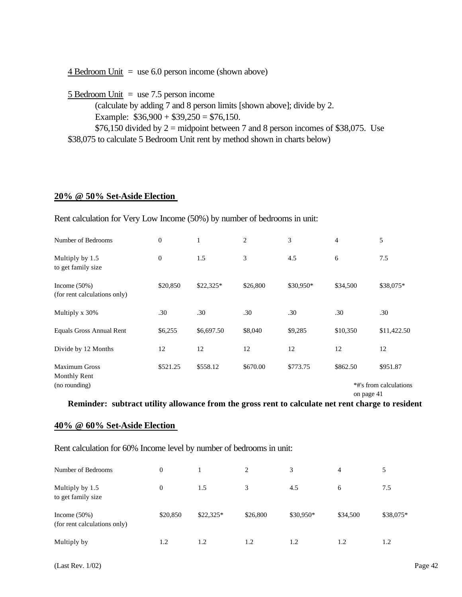| 5 Bedroom Unit $=$ use 7.5 person income                                         |
|----------------------------------------------------------------------------------|
| (calculate by adding 7 and 8 person limits [shown above]; divide by 2.           |
| Example: $$36,900 + $39,250 = $76,150$ .                                         |
| \$76,150 divided by 2 = midpoint between 7 and 8 person incomes of \$38,075. Use |
| \$38,075 to calculate 5 Bedroom Unit rent by method shown in charts below)       |

#### **20% @ 50% Set-Aside Election**

Rent calculation for Very Low Income (50%) by number of bedrooms in unit:

 $4$  Bedroom Unit = use 6.0 person income (shown above)

| Number of Bedrooms                                           | $\mathbf{0}$     | 1          | $\overline{2}$ | 3         | $\overline{4}$ | 5                                  |
|--------------------------------------------------------------|------------------|------------|----------------|-----------|----------------|------------------------------------|
| Multiply by 1.5<br>to get family size                        | $\boldsymbol{0}$ | 1.5        | 3              | 4.5       | 6              | 7.5                                |
| Income $(50\%)$<br>(for rent calculations only)              | \$20,850         | \$22,325*  | \$26,800       | \$30,950* | \$34,500       | \$38,075*                          |
| Multiply x 30%                                               | .30              | .30        | .30            | .30       | .30            | .30                                |
| Equals Gross Annual Rent                                     | \$6,255          | \$6,697.50 | \$8,040        | \$9,285   | \$10,350       | \$11,422.50                        |
| Divide by 12 Months                                          | 12               | 12         | 12             | 12        | 12             | 12                                 |
| <b>Maximum Gross</b><br><b>Monthly Rent</b><br>(no rounding) | \$521.25         | \$558.12   | \$670.00       | \$773.75  | \$862.50       | \$951.87<br>*#'s from calculations |

on page 41

**Reminder: subtract utility allowance from the gross rent to calculate net rent charge to resident**

#### **40% @ 60% Set-Aside Election**

Rent calculation for 60% Income level by number of bedrooms in unit:

| Number of Bedrooms                              | $\mathbf{0}$ |            | $\overline{c}$ | 3         | 4        | 5         |
|-------------------------------------------------|--------------|------------|----------------|-----------|----------|-----------|
| Multiply by 1.5<br>to get family size           | $\mathbf{0}$ | 1.5        | 3              | 4.5       | 6        | 7.5       |
| Income $(50\%)$<br>(for rent calculations only) | \$20,850     | $$22,325*$ | \$26,800       | \$30,950* | \$34,500 | \$38,075* |
| Multiply by                                     | 1.2          | 1.2        | 1.2            | 1.2       | 1.2      | 1.2       |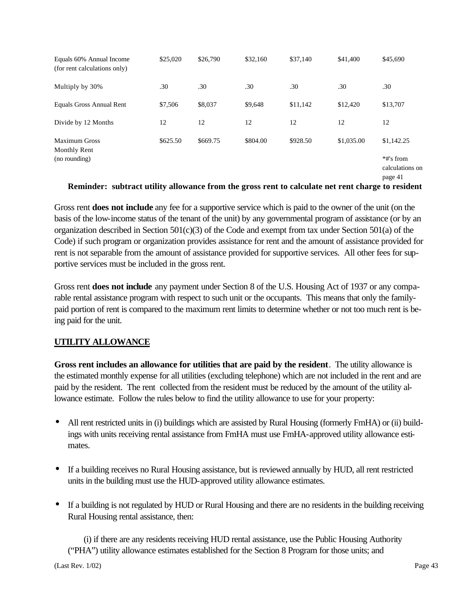| Equals 60% Annual Income<br>(for rent calculations only) | \$25,020 | \$26,790 | \$32,160 | \$37,140 | \$41,400   | \$45,690                                |
|----------------------------------------------------------|----------|----------|----------|----------|------------|-----------------------------------------|
| Multiply by 30%                                          | .30      | .30      | .30      | .30      | .30        | .30                                     |
| Equals Gross Annual Rent                                 | \$7,506  | \$8,037  | \$9,648  | \$11,142 | \$12,420   | \$13,707                                |
| Divide by 12 Months                                      | 12       | 12       | 12       | 12       | 12         | 12                                      |
| <b>Maximum Gross</b><br>Monthly Rent                     | \$625.50 | \$669.75 | \$804.00 | \$928.50 | \$1,035.00 | \$1,142.25                              |
| (no rounding)                                            |          |          |          |          |            | *#'s from<br>calculations on<br>page 41 |

#### **Reminder: subtract utility allowance from the gross rent to calculate net rent charge to resident**

Gross rent **does not include** any fee for a supportive service which is paid to the owner of the unit (on the basis of the low-income status of the tenant of the unit) by any governmental program of assistance (or by an organization described in Section 501(c)(3) of the Code and exempt from tax under Section 501(a) of the Code) if such program or organization provides assistance for rent and the amount of assistance provided for rent is not separable from the amount of assistance provided for supportive services. All other fees for supportive services must be included in the gross rent.

Gross rent **does not include** any payment under Section 8 of the U.S. Housing Act of 1937 or any comparable rental assistance program with respect to such unit or the occupants. This means that only the familypaid portion of rent is compared to the maximum rent limits to determine whether or not too much rent is being paid for the unit.

#### **UTILITY ALLOWANCE**

**Gross rent includes an allowance for utilities that are paid by the resident**. The utility allowance is the estimated monthly expense for all utilities (excluding telephone) which are not included in the rent and are paid by the resident. The rent collected from the resident must be reduced by the amount of the utility allowance estimate. Follow the rules below to find the utility allowance to use for your property:

- All rent restricted units in (i) buildings which are assisted by Rural Housing (formerly FmHA) or (ii) buildings with units receiving rental assistance from FmHA must use FmHA-approved utility allowance estimates.
- If a building receives no Rural Housing assistance, but is reviewed annually by HUD, all rent restricted units in the building must use the HUD-approved utility allowance estimates.
- If a building is not regulated by HUD or Rural Housing and there are no residents in the building receiving Rural Housing rental assistance, then:

 (i) if there are any residents receiving HUD rental assistance, use the Public Housing Authority ("PHA") utility allowance estimates established for the Section 8 Program for those units; and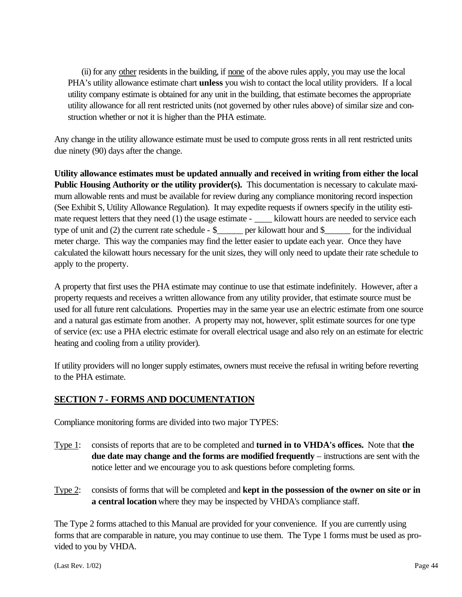(ii) for any other residents in the building, if none of the above rules apply, you may use the local PHA's utility allowance estimate chart **unless** you wish to contact the local utility providers. If a local utility company estimate is obtained for any unit in the building, that estimate becomes the appropriate utility allowance for all rent restricted units (not governed by other rules above) of similar size and construction whether or not it is higher than the PHA estimate.

Any change in the utility allowance estimate must be used to compute gross rents in all rent restricted units due ninety (90) days after the change.

**Utility allowance estimates must be updated annually and received in writing from either the local Public Housing Authority or the utility provider(s).** This documentation is necessary to calculate maximum allowable rents and must be available for review during any compliance monitoring record inspection (See Exhibit S, Utility Allowance Regulation). It may expedite requests if owners specify in the utility estimate request letters that they need (1) the usage estimate - \_\_\_\_\_ kilowatt hours are needed to service each type of unit and (2) the current rate schedule - \$\_\_\_\_\_\_ per kilowatt hour and \$\_\_\_\_\_\_ for the individual meter charge. This way the companies may find the letter easier to update each year. Once they have calculated the kilowatt hours necessary for the unit sizes, they will only need to update their rate schedule to apply to the property.

A property that first uses the PHA estimate may continue to use that estimate indefinitely. However, after a property requests and receives a written allowance from any utility provider, that estimate source must be used for all future rent calculations. Properties may in the same year use an electric estimate from one source and a natural gas estimate from another. A property may not, however, split estimate sources for one type of service (ex: use a PHA electric estimate for overall electrical usage and also rely on an estimate for electric heating and cooling from a utility provider).

If utility providers will no longer supply estimates, owners must receive the refusal in writing before reverting to the PHA estimate.

#### **SECTION 7 - FORMS AND DOCUMENTATION**

Compliance monitoring forms are divided into two major TYPES:

- Type 1: consists of reports that are to be completed and **turned in to VHDA's offices.** Note that **the due date may change and the forms are modified frequently** – instructions are sent with the notice letter and we encourage you to ask questions before completing forms.
- Type 2: consists of forms that will be completed and **kept in the possession of the owner on site or in a central location** where they may be inspected by VHDA's compliance staff.

The Type 2 forms attached to this Manual are provided for your convenience. If you are currently using forms that are comparable in nature, you may continue to use them. The Type 1 forms must be used as provided to you by VHDA.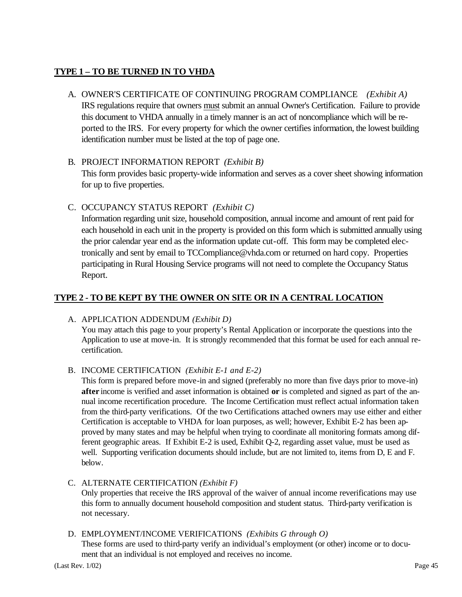#### **TYPE 1 – TO BE TURNED IN TO VHDA**

#### A. OWNER'S CERTIFICATE OF CONTINUING PROGRAM COMPLIANCE *(Exhibit A)*

IRS regulations require that owners must submit an annual Owner's Certification. Failure to provide this document to VHDA annually in a timely manner is an act of noncompliance which will be reported to the IRS. For every property for which the owner certifies information, the lowest building identification number must be listed at the top of page one.

#### B. PROJECT INFORMATION REPORT *(Exhibit B)*

This form provides basic property-wide information and serves as a cover sheet showing information for up to five properties.

#### C. OCCUPANCY STATUS REPORT *(Exhibit C)*

Information regarding unit size, household composition, annual income and amount of rent paid for each household in each unit in the property is provided on this form which is submitted annually using the prior calendar year end as the information update cut-off. This form may be completed electronically and sent by email to TCCompliance@vhda.com or returned on hard copy. Properties participating in Rural Housing Service programs will not need to complete the Occupancy Status Report.

#### **TYPE 2 - TO BE KEPT BY THE OWNER ON SITE OR IN A CENTRAL LOCATION**

#### A. APPLICATION ADDENDUM *(Exhibit D)*

You may attach this page to your property's Rental Application or incorporate the questions into the Application to use at move-in. It is strongly recommended that this format be used for each annual recertification.

#### B. INCOME CERTIFICATION *(Exhibit E-1 and E-2)*

This form is prepared before move-in and signed (preferably no more than five days prior to move-in) **after** income is verified and asset information is obtained **or** is completed and signed as part of the annual income recertification procedure. The Income Certification must reflect actual information taken from the third-party verifications. Of the two Certifications attached owners may use either and either Certification is acceptable to VHDA for loan purposes, as well; however, Exhibit E-2 has been approved by many states and may be helpful when trying to coordinate all monitoring formats among different geographic areas. If Exhibit E-2 is used, Exhibit Q-2, regarding asset value, must be used as well. Supporting verification documents should include, but are not limited to, items from D, E and F. below.

### C. ALTERNATE CERTIFICATION *(Exhibit F)*

Only properties that receive the IRS approval of the waiver of annual income reverifications may use this form to annually document household composition and student status. Third-party verification is not necessary.

#### D. EMPLOYMENT/INCOME VERIFICATIONS *(Exhibits G through O)*

These forms are used to third-party verify an individual's employment (or other) income or to document that an individual is not employed and receives no income.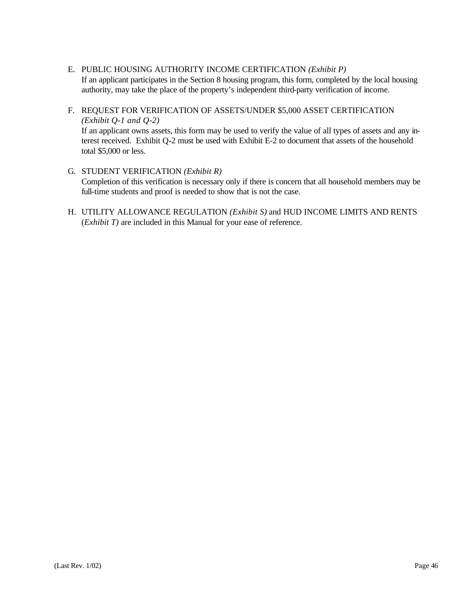- E. PUBLIC HOUSING AUTHORITY INCOME CERTIFICATION *(Exhibit P)* If an applicant participates in the Section 8 housing program, this form, completed by the local housing authority, may take the place of the property's independent third-party verification of income.
- F. REQUEST FOR VERIFICATION OF ASSETS/UNDER \$5,000 ASSET CERTIFICATION *(Exhibit Q-1 and Q-2)* If an applicant owns assets, this form may be used to verify the value of all types of assets and any interest received. Exhibit Q-2 must be used with Exhibit E-2 to document that assets of the household total \$5,000 or less.
- G. STUDENT VERIFICATION *(Exhibit R)* Completion of this verification is necessary only if there is concern that all household members may be full-time students and proof is needed to show that is not the case.
- H. UTILITY ALLOWANCE REGULATION *(Exhibit S)* and HUD INCOME LIMITS AND RENTS (*Exhibit T)* are included in this Manual for your ease of reference.